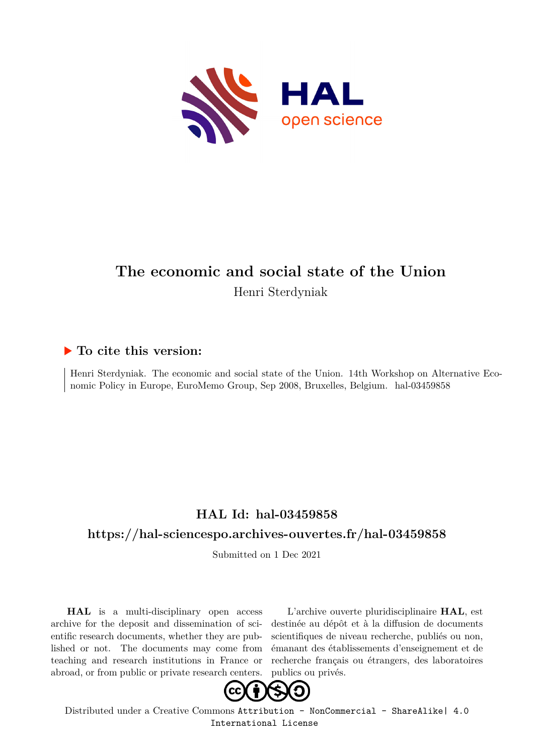

#### **The economic and social state of the Union** Henri Sterdyniak

#### **To cite this version:**

Henri Sterdyniak. The economic and social state of the Union. 14th Workshop on Alternative Economic Policy in Europe, EuroMemo Group, Sep 2008, Bruxelles, Belgium. hal-03459858

#### **HAL Id: hal-03459858**

#### **<https://hal-sciencespo.archives-ouvertes.fr/hal-03459858>**

Submitted on 1 Dec 2021

**HAL** is a multi-disciplinary open access archive for the deposit and dissemination of scientific research documents, whether they are published or not. The documents may come from teaching and research institutions in France or abroad, or from public or private research centers.

L'archive ouverte pluridisciplinaire **HAL**, est destinée au dépôt et à la diffusion de documents scientifiques de niveau recherche, publiés ou non, émanant des établissements d'enseignement et de recherche français ou étrangers, des laboratoires publics ou privés.



Distributed under a Creative Commons [Attribution - NonCommercial - ShareAlike| 4.0](http://creativecommons.org/licenses/by-nc-sa/4.0/) [International License](http://creativecommons.org/licenses/by-nc-sa/4.0/)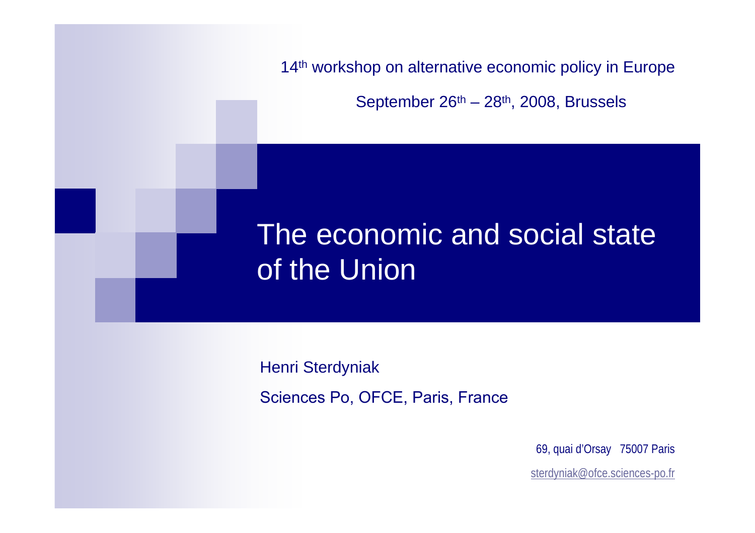

September 26<sup>th</sup> – 28<sup>th</sup>, 2008, Brussels

# The economic and social state of the Union

Henri Sterdyniak

Sciences Po, OFCE, Paris, France

69, quai d'Orsay 75007 Paris

sterdyniak@ofce.sciences-po.fr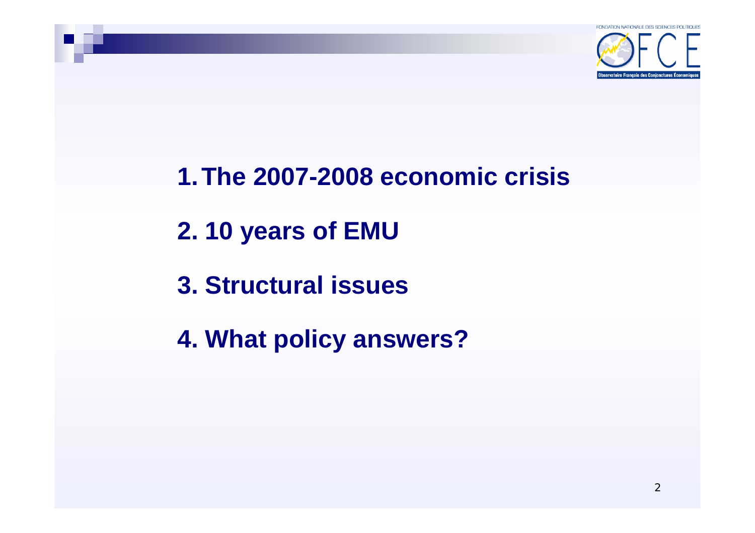

#### **1.The 2007-2008 economic crisis**

- **2. 10 years of EMU**
- **3. Structural issues**
- **4. What policy answers?**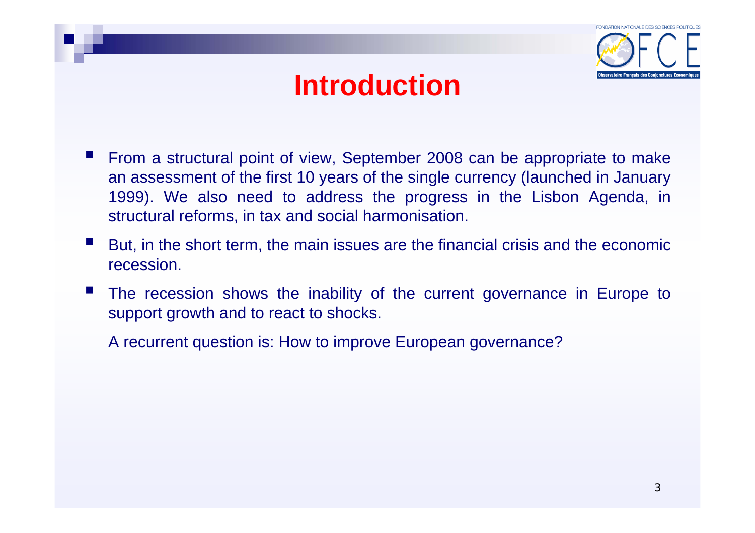

## **Introduction**

- $\mathcal{L}^{\text{max}}$  From a structural point of view, September 2008 can be appropriate to make an assessment of the first 10 years of the single currency (launched in January 1999). We also need to address the progress in the Lisbon Agenda, in structural reforms, in tax and social harmonisation.
- But, in the short term, the main issues are the financial crisis and the economic recession.
- The recession shows the inability of the current governance in Europe to support growth and to react to shocks.

A recurrent question is: How to improve European governance?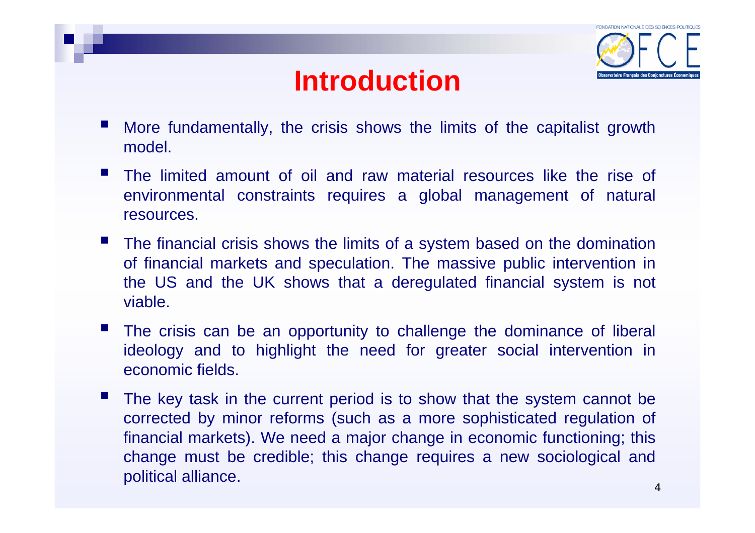## **Introduction**



- More fundamentally, the crisis shows the limits of the capitalist growth model.
- The limited amount of oil and raw material resources like the rise of environmental constraints requires a global management of natural resources.
- The financial crisis shows the limits of a system based on the domination of financial markets and speculation. The massive public intervention in the US and the UK shows that a deregulated financial system is not viable.
- The crisis can be an opportunity to challenge the dominance of liberal ideology and to highlight the need for greater social intervention in economic fields.
- The key task in the current period is to show that the system cannot be corrected by minor reforms (such as a more sophisticated regulation of financial markets). We need a major change in economic functioning; this change must be credible; this change requires a new sociological and political alliance.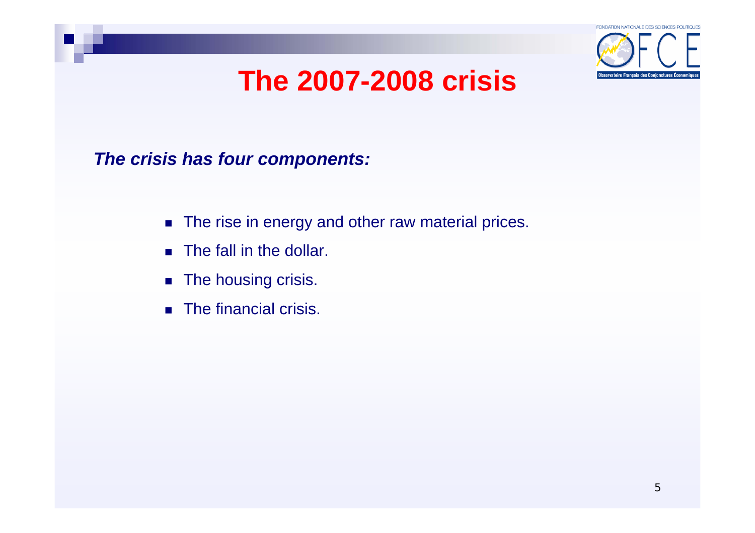

*The crisis has four components:*

- The rise in energy and other raw material prices.
- **The fall in the dollar.**
- **The housing crisis.**
- **The financial crisis.**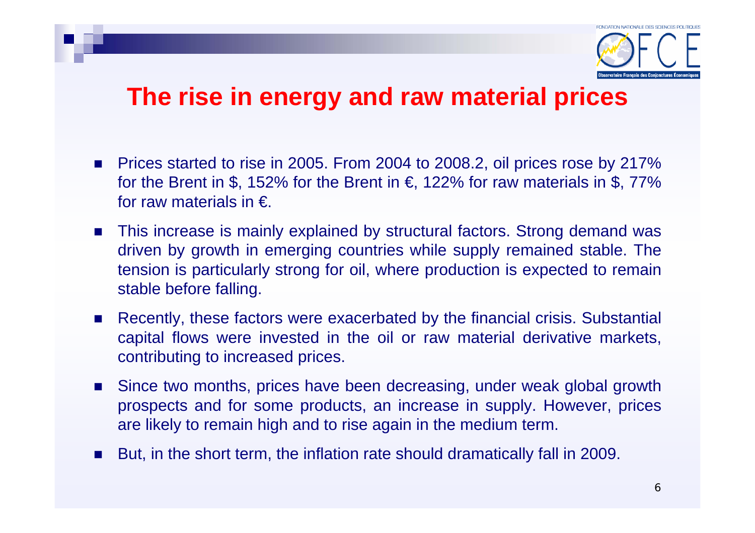

#### **The rise in energy and raw material prices**

- Prices started to rise in 2005. From 2004 to 2008.2, oil prices rose by 217% for the Brent in \$, 152% for the Brent in  $\epsilon$ , 122% for raw materials in \$, 77% for raw materials in  $\epsilon$ .
- This increase is mainly explained by structural factors. Strong demand was driven by growth in emerging countries while supply remained stable. The tension is particularly strong for oil, where production is expected to remain stable before falling.
- Recently, these factors were exacerbated by the financial crisis. Substantial capital flows were invested in the oil or raw material derivative markets, contributing to increased prices.
- Since two months, prices have been decreasing, under weak global growth prospects and for some products, an increase in supply. However, prices are likely to remain high and to rise again in the medium term.
- But, in the short term, the inflation rate should dramatically fall in 2009.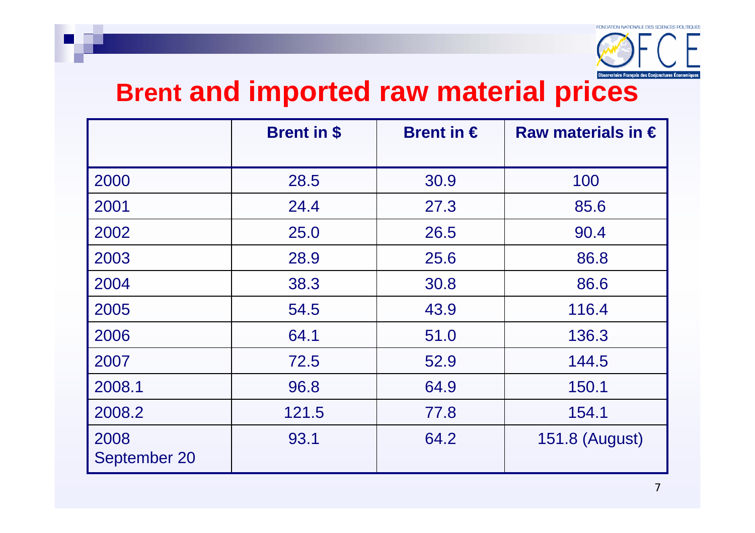

# **Brent and imported raw material prices**

|                      | <b>Brent in \$</b> | Brent in $\epsilon$ | Raw materials in $\epsilon$ |
|----------------------|--------------------|---------------------|-----------------------------|
|                      |                    |                     |                             |
| 2000                 | 28.5               | 30.9                | 100                         |
| 2001                 | 24.4               | 27.3                | 85.6                        |
| 2002                 | 25.0               | 26.5                | 90.4                        |
| 2003                 | 28.9               | 25.6                | 86.8                        |
| 2004                 | 38.3               | 30.8                | 86.6                        |
| 2005                 | 54.5               | 43.9                | 116.4                       |
| 2006                 | 64.1               | 51.0                | 136.3                       |
| 2007                 | 72.5               | 52.9                | 144.5                       |
| 2008.1               | 96.8               | 64.9                | 150.1                       |
| 2008.2               | 121.5              | 77.8                | 154.1                       |
| 2008<br>September 20 | 93.1               | 64.2                | 151.8 (August)              |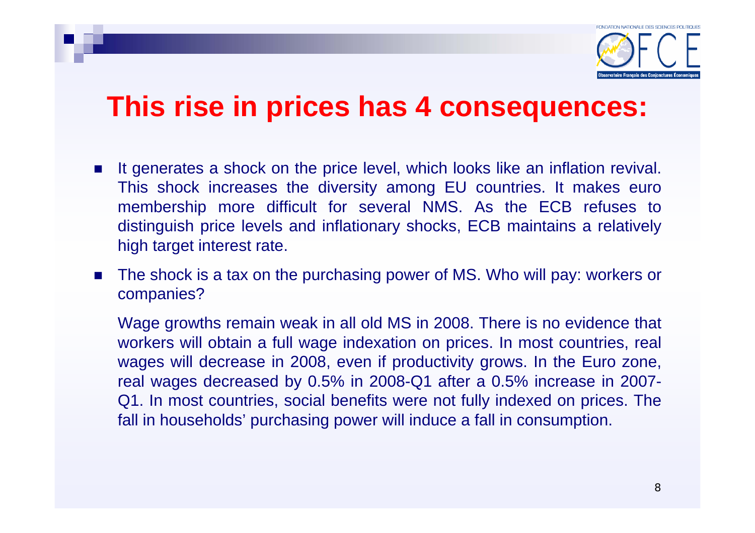

#### **This rise in prices has 4 consequences:**

- Π It generates a shock on the price level, which looks like an inflation revival. This shock increases the diversity among EU countries. It makes euro membership more difficult for several NMS. As the ECB refuses to distinguish price levels and inflationary shocks, ECB maintains a relatively high target interest rate.
- $\mathcal{L}_{\mathcal{A}}$  The shock is a tax on the purchasing power of MS. Who will pay: workers or companies?

Wage growths remain weak in all old MS in 2008. There is no evidence that workers will obtain a full wage indexation on prices. In most countries, real wages will decrease in 2008, even if productivity grows. In the Euro zone, real wages decreased by 0.5% in 2008-Q1 after a 0.5% increase in 2007- Q1. In most countries, social benefits were not fully indexed on prices. The fall in households' purchasing power will induce a fall in consumption.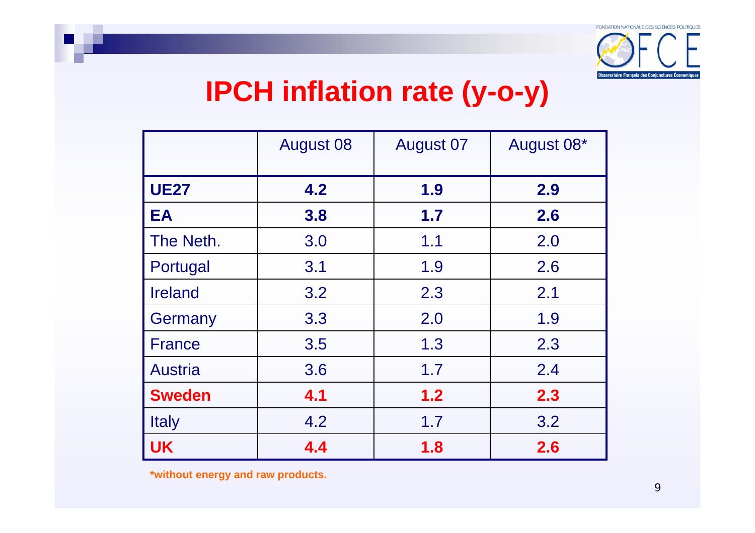

## **IPCH inflation rate (y-o-y)**

|                | <b>August 08</b> | <b>August 07</b> | August 08* |
|----------------|------------------|------------------|------------|
| <b>UE27</b>    | 4.2              | 1.9              | 2.9        |
| EA             | 3.8              | 1.7              | 2.6        |
| The Neth.      | 3.0              | 1.1              | 2.0        |
| Portugal       | 3.1              | 1.9              | 2.6        |
| <b>Ireland</b> | 3.2              | 2.3              | 2.1        |
| Germany        | 3.3              | 2.0              | 1.9        |
| <b>France</b>  | 3.5              | 1.3              | 2.3        |
| <b>Austria</b> | 3.6              | 1.7              | 2.4        |
| <b>Sweden</b>  | 4.1              | 1.2              | 2.3        |
| <b>Italy</b>   | 4.2              | 1.7              | 3.2        |
| <b>UK</b>      | 4.4              | 1.8              | 2.6        |

**\*without energy and raw products.**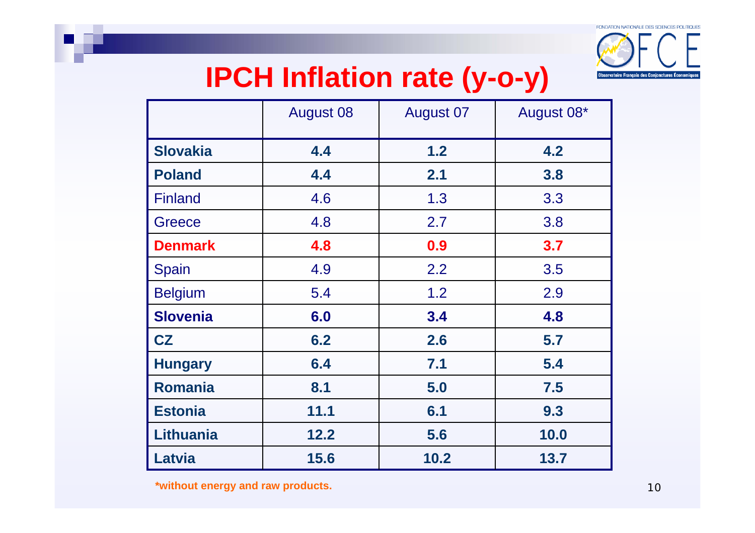

# **IPCH Inflation rate (y-o-y)**

|                  | <b>August 08</b> | <b>August 07</b> | August 08* |
|------------------|------------------|------------------|------------|
| <b>Slovakia</b>  | 4.4              | 1.2              | 4.2        |
| <b>Poland</b>    | 4.4              | 2.1              | 3.8        |
| <b>Finland</b>   | 4.6              | 1.3              | 3.3        |
| <b>Greece</b>    | 4.8              | 2.7              | 3.8        |
| <b>Denmark</b>   | 4.8              | 0.9              | 3.7        |
| Spain            | 4.9              | 2.2              | 3.5        |
| <b>Belgium</b>   | 5.4              | 1.2              | 2.9        |
| <b>Slovenia</b>  | 6.0              | 3.4              | 4.8        |
| CZ               | 6.2              | 2.6              | 5.7        |
| <b>Hungary</b>   | 6.4              | 7.1              | 5.4        |
| <b>Romania</b>   | 8.1              | 5.0              | 7.5        |
| <b>Estonia</b>   | 11.1             | 6.1              | 9.3        |
| <b>Lithuania</b> | 12.2             | 5.6              | 10.0       |
| Latvia           | 15.6             | 10.2             | 13.7       |

**\*without energy and raw products.**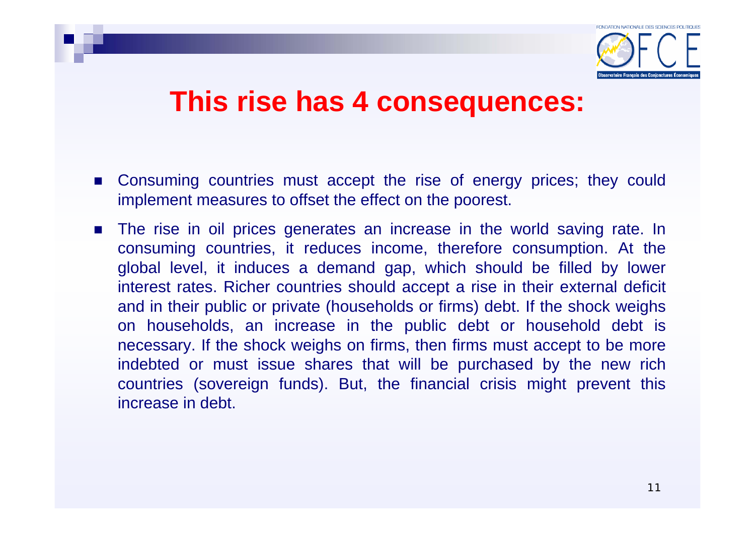

#### **This rise has 4 consequences:**

- **EXCONSUMING COUNTRIES MUST accept the rise of energy prices; they could** implement measures to offset the effect on the poorest.
- $\mathcal{L}_{\mathcal{A}}$  The rise in oil prices generates an increase in the world saving rate. In consuming countries, it reduces income, therefore consumption. At the global level, it induces a demand gap, which should be filled by lower interest rates. Richer countries should accept a rise in their external deficit and in their public or private (households or firms) debt. If the shock weighs on households, an increase in the public debt or household debt is necessary. If the shock weighs on firms, then firms must accept to be more indebted or must issue shares that will be purchased by the new rich countries (sovereign funds). But, the financial crisis might prevent this increase in debt.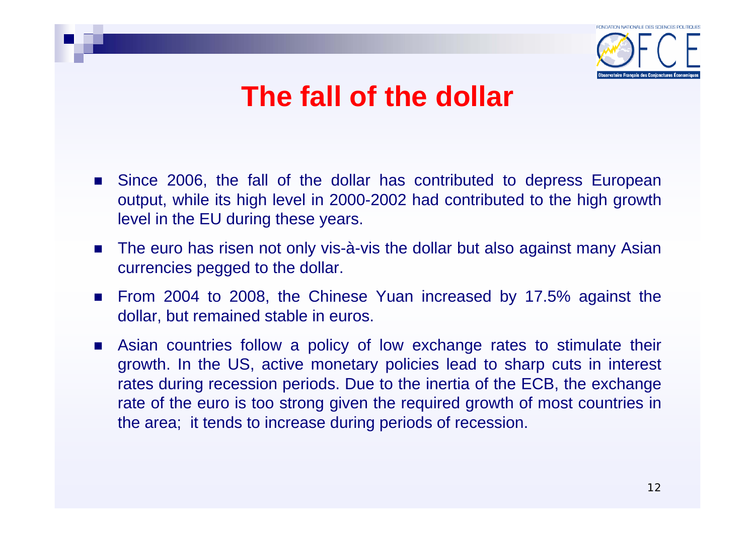

### **The fall of the dollar**

- Since 2006, the fall of the dollar has contributed to depress European output, while its high level in 2000-2002 had contributed to the high growth level in the EU during these years.
- The euro has risen not only vis-à-vis the dollar but also against many Asian currencies pegged to the dollar.
- From 2004 to 2008, the Chinese Yuan increased by 17.5% against the dollar, but remained stable in euros.
- **Asian countries follow a policy of low exchange rates to stimulate their** growth. In the US, active monetary policies lead to sharp cuts in interest rates during recession periods. Due to the inertia of the ECB, the exchange rate of the euro is too strong given the required growth of most countries in the area; it tends to increase during periods of recession.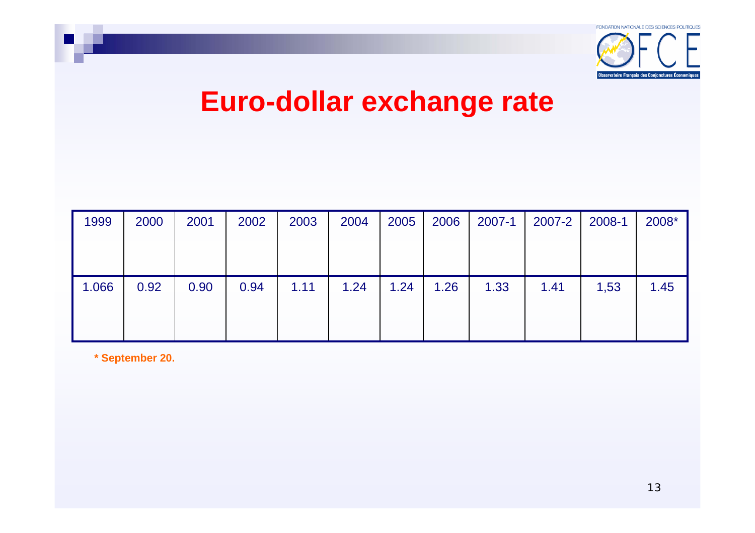

## **Euro-dollar exchange rate**

| 1999  | 2000 | 2001 | 2002 | 2003 | 2004 | 2005 | 2006 | 2007-1 | 2007-2 | 2008-1 | 2008* |
|-------|------|------|------|------|------|------|------|--------|--------|--------|-------|
|       |      |      |      |      |      |      |      |        |        |        |       |
|       |      |      |      |      |      |      |      |        |        |        |       |
| 1.066 | 0.92 | 0.90 | 0.94 | 1.11 | 1.24 | 1.24 | 1.26 | 1.33   | 1.41   | 1,53   | 1.45  |
|       |      |      |      |      |      |      |      |        |        |        |       |
|       |      |      |      |      |      |      |      |        |        |        |       |

**\* September 20.**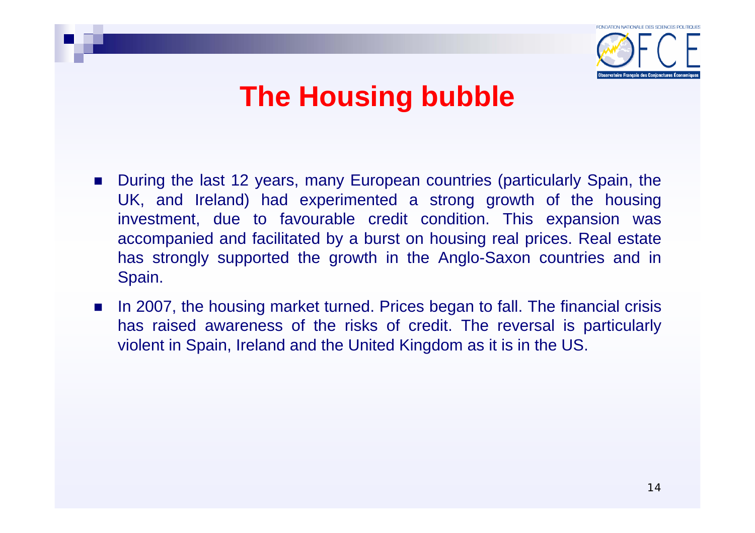

## **The Housing bubble**

- During the last 12 years, many European countries (particularly Spain, the UK, and Ireland) had experimented a strong growth of the housing investment, due to favourable credit condition. This expansion was accompanied and facilitated by a burst on housing real prices. Real estate has strongly supported the growth in the Anglo-Saxon countries and in Spain.
- In 2007, the housing market turned. Prices began to fall. The financial crisis has raised awareness of the risks of credit. The reversal is particularly violent in Spain, Ireland and the United Kingdom as it is in the US.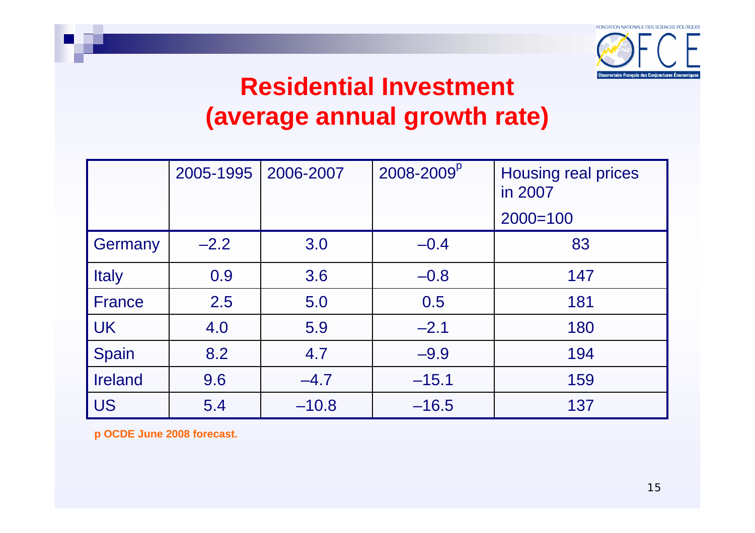

#### **Residential Investment (average annual growth rate)**

|                | 2005-1995 | 2006-2007 | 2008-2009 <sup>p</sup> | Housing real prices<br>in 2007 |
|----------------|-----------|-----------|------------------------|--------------------------------|
|                |           |           |                        | $2000 = 100$                   |
| Germany        | $-2.2$    | 3.0       | $-0.4$                 | 83                             |
| <b>Italy</b>   | 0.9       | 3.6       | $-0.8$                 | 147                            |
| <b>France</b>  | 2.5       | 5.0       | 0.5                    | 181                            |
| <b>UK</b>      | 4.0       | 5.9       | $-2.1$                 | 180                            |
| Spain          | 8.2       | 4.7       | $-9.9$                 | 194                            |
| <b>Ireland</b> | 9.6       | $-4.7$    | $-15.1$                | 159                            |
| <b>US</b>      | 5.4       | $-10.8$   | $-16.5$                | 137                            |

**p OCDE June 2008 forecast.**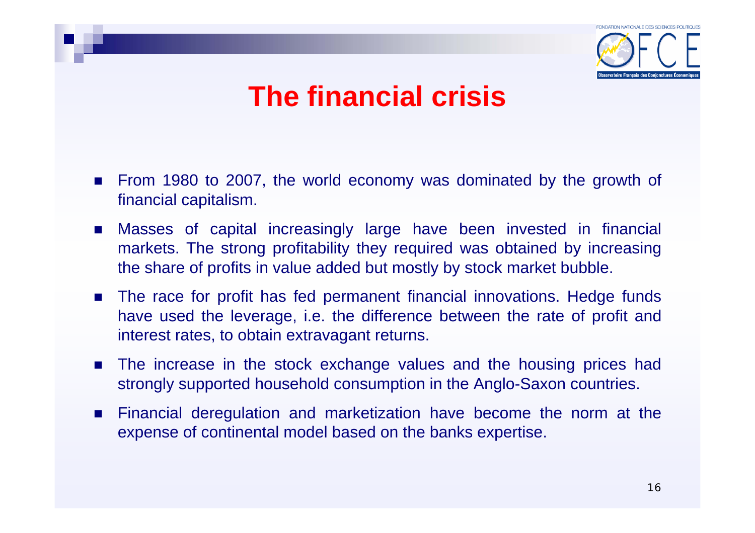

## **The financial crisis**

- From 1980 to 2007, the world economy was dominated by the growth of financial capitalism.
- Masses of capital increasingly large have been invested in financial markets. The strong profitability they required was obtained by increasing the share of profits in value added but mostly by stock market bubble.
- **The race for profit has fed permanent financial innovations. Hedge funds** have used the leverage, i.e. the difference between the rate of profit and interest rates, to obtain extravagant returns.
- **The increase in the stock exchange values and the housing prices had** strongly supported household consumption in the Anglo-Saxon countries.
- $\mathcal{L}_{\rm{max}}$  Financial deregulation and marketization have become the norm at the expense of continental model based on the banks expertise.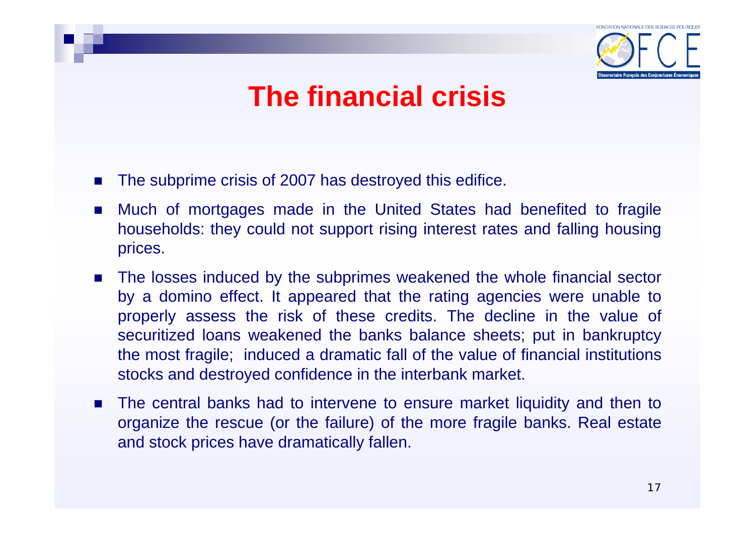

## **The financial crisis**

- $\mathbf{r}$ The subprime crisis of 2007 has destroyed this edifice.
- **College**  Much of mortgages made in the United States had benefited to fragile households: they could not support rising interest rates and falling housing prices.
- The losses induced by the subprimes weakened the whole financial sector by a domino effect. It appeared that the rating agencies were unable to properly assess the risk of these credits. The decline in the value of securitized loans weakened the banks balance sheets; put in bankruptcy the most fragile; induced a dramatic fall of the value of financial institutions stocks and destroyed confidence in the interbank market.
- The central banks had to intervene to ensure market liquidity and then to organize the rescue (or the failure) of the more fragile banks. Real estate and stock prices have dramatically fallen.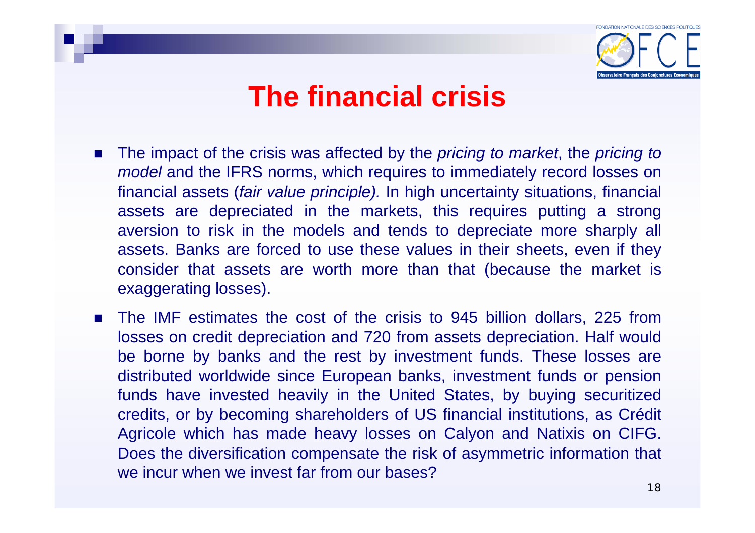

#### **The financial crisis**

- The impact of the crisis was affected by the *pricing to market*, the *pricing to model* and the IFRS norms, which requires to immediately record losses on financial assets (*fair value principle).* In high uncertainty situations, financial assets are depreciated in the markets, this requires putting a strong aversion to risk in the models and tends to depreciate more sharply all assets. Banks are forced to use these values in their sheets, even if they consider that assets are worth more than that (because the market is exaggerating losses).
- The IMF estimates the cost of the crisis to 945 billion dollars, 225 from losses on credit depreciation and 720 from assets depreciation. Half would be borne by banks and the rest by investment funds. These losses are distributed worldwide since European banks, investment funds or pension funds have invested heavily in the United States, by buying securitized credits, or by becoming shareholders of US financial institutions, as Crédit Agricole which has made heavy losses on Calyon and Natixis on CIFG. Does the diversification compensate the risk of asymmetric information that we incur when we invest far from our bases?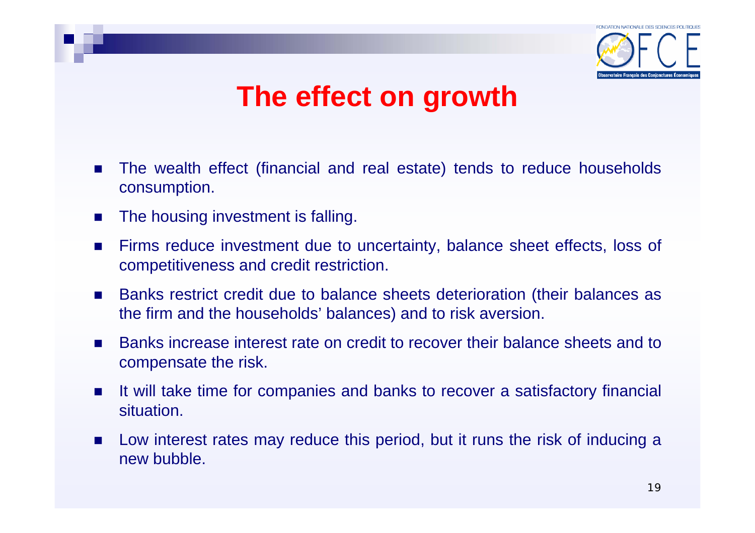

### **The effect on growth**

- $\mathbf{r}$  The wealth effect (financial and real estate) tends to reduce households consumption.
- $\mathcal{L}^{\text{max}}$ The housing investment is falling.
- $\mathcal{L}_{\mathcal{A}}$  Firms reduce investment due to uncertainty, balance sheet effects, loss of competitiveness and credit restriction.
- $\mathcal{L}_{\rm{max}}$  Banks restrict credit due to balance sheets deterioration (their balances as the firm and the households' balances) and to risk aversion.
- $\mathcal{L}^{\text{max}}_{\text{max}}$  Banks increase interest rate on credit to recover their balance sheets and to compensate the risk.
- $\mathcal{L}_{\mathcal{A}}$  It will take time for companies and banks to recover a satisfactory financial situation.
- **Low interest rates may reduce this period, but it runs the risk of inducing a** new bubble.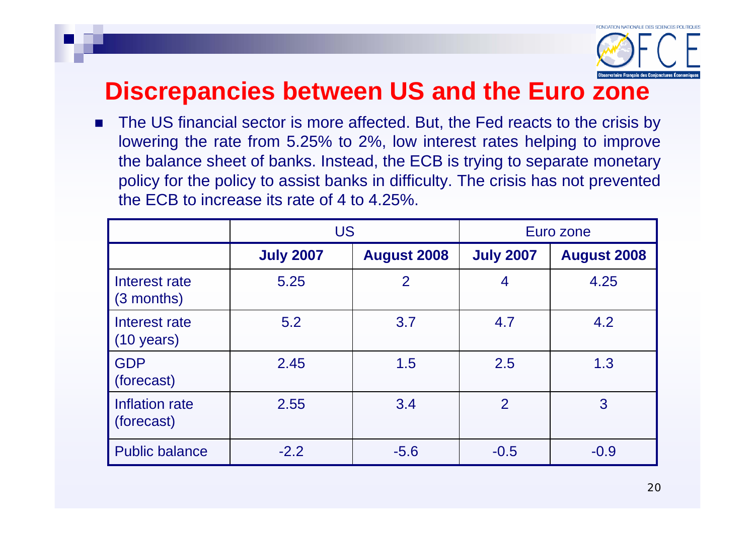

#### **Discrepancies between US and the Euro zone**

 $\mathcal{L}_{\mathcal{A}}$  The US financial sector is more affected. But, the Fed reacts to the crisis by lowering the rate from 5.25% to 2%, low interest rates helping to improve the balance sheet of banks. Instead, the ECB is trying to separate monetary policy for the policy to assist banks in difficulty. The crisis has not prevented the ECB to increase its rate of 4 to 4.25%.

|                                       | <b>US</b>        |                    | Euro zone        |                    |
|---------------------------------------|------------------|--------------------|------------------|--------------------|
|                                       | <b>July 2007</b> | <b>August 2008</b> | <b>July 2007</b> | <b>August 2008</b> |
| Interest rate<br>$(3$ months)         | 5.25             | $\overline{2}$     | 4                | 4.25               |
| Interest rate<br>$(10 \text{ years})$ | 5.2              | 3.7                | 4.7              | 4.2                |
| <b>GDP</b><br>(forecast)              | 2.45             | 1.5                | 2.5              | 1.3                |
| Inflation rate<br>(forecast)          | 2.55             | 3.4                | 2                | 3                  |
| <b>Public balance</b>                 | $-2.2$           | $-5.6$             | $-0.5$           | $-0.9$             |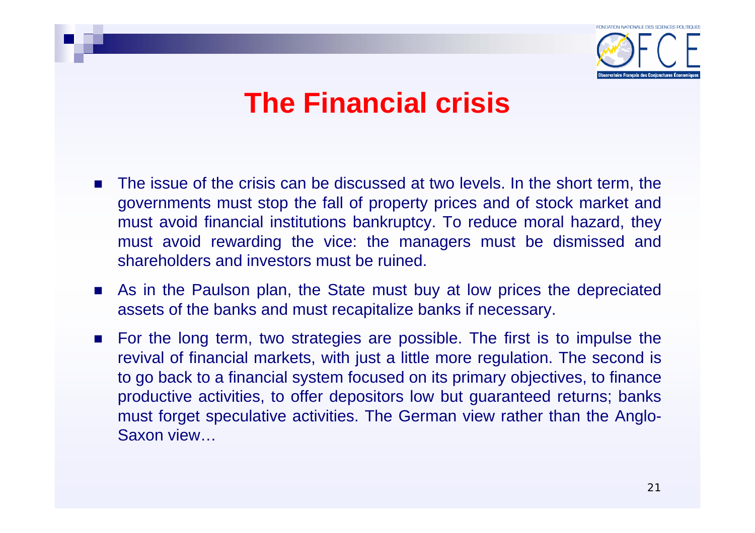

### **The Financial crisis**

- $\mathcal{L}_{\mathcal{A}}$  The issue of the crisis can be discussed at two levels. In the short term, the governments must stop the fall of property prices and of stock market and must avoid financial institutions bankruptcy. To reduce moral hazard, they must avoid rewarding the vice: the managers must be dismissed and shareholders and investors must be ruined.
- **As in the Paulson plan, the State must buy at low prices the depreciated** assets of the banks and must recapitalize banks if necessary.
- For the long term, two strategies are possible. The first is to impulse the revival of financial markets, with just a little more regulation. The second is to go back to a financial system focused on its primary objectives, to finance productive activities, to offer depositors low but guaranteed returns; banks must forget speculative activities. The German view rather than the Anglo-Saxon view…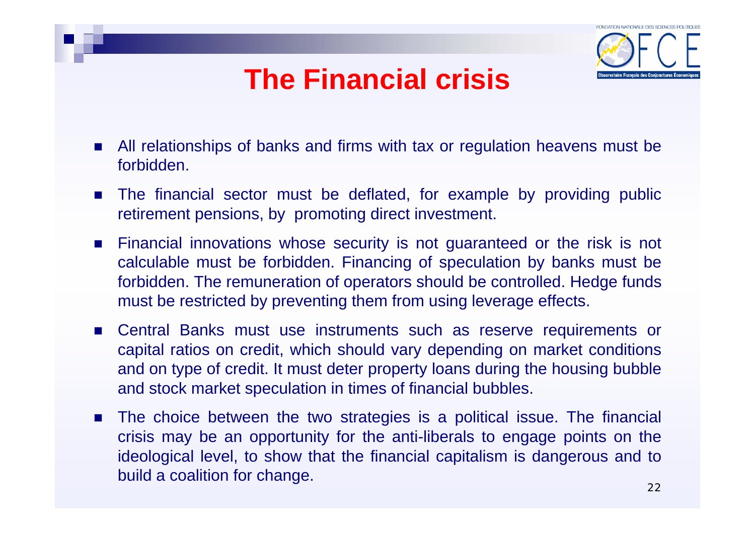## **The Financial crisis**



- All relationships of banks and firms with tax or regulation heavens must be forbidden.
- The financial sector must be deflated, for example by providing public retirement pensions, by promoting direct investment.
- **Example 3** Financial innovations whose security is not guaranteed or the risk is not calculable must be forbidden. Financing of speculation by banks must be forbidden. The remuneration of operators should be controlled. Hedge funds must be restricted by preventing them from using leverage effects.
- Central Banks must use instruments such as reserve requirements or capital ratios on credit, which should vary depending on market conditions and on type of credit. It must deter property loans during the housing bubble and stock market speculation in times of financial bubbles.
- **The choice between the two strategies is a political issue. The financial** crisis may be an opportunity for the anti-liberals to engage points on the ideological level, to show that the financial capitalism is dangerous and to build a coalition for change.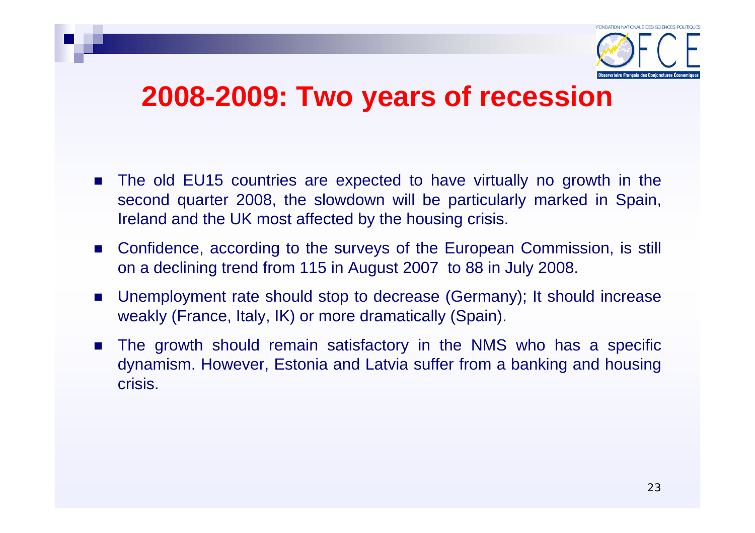

#### **2008-2009: Two years of recession**

- The old EU15 countries are expected to have virtually no growth in the second quarter 2008, the slowdown will be particularly marked in Spain, Ireland and the UK most affected by the housing crisis.
- Confidence, according to the surveys of the European Commission, is still on a declining trend from 115 in August 2007 to 88 in July 2008.
- Unemployment rate should stop to decrease (Germany); It should increase weakly (France, Italy, IK) or more dramatically (Spain).
- **The growth should remain satisfactory in the NMS who has a specific** dynamism. However, Estonia and Latvia suffer from a banking and housing crisis.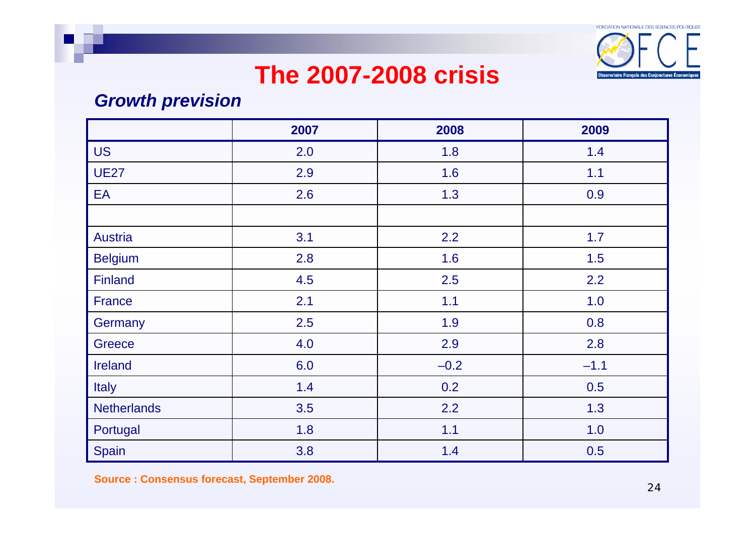

#### *Growth prevision*

|                    | 2007 | 2008   | 2009   |
|--------------------|------|--------|--------|
| <b>US</b>          | 2.0  | 1.8    | 1.4    |
| <b>UE27</b>        | 2.9  | 1.6    | 1.1    |
| EA                 | 2.6  | 1.3    | 0.9    |
|                    |      |        |        |
| <b>Austria</b>     | 3.1  | 2.2    | 1.7    |
| <b>Belgium</b>     | 2.8  | 1.6    | 1.5    |
| <b>Finland</b>     | 4.5  | 2.5    | 2.2    |
| <b>France</b>      | 2.1  | 1.1    | 1.0    |
| Germany            | 2.5  | 1.9    | 0.8    |
| <b>Greece</b>      | 4.0  | 2.9    | 2.8    |
| <b>Ireland</b>     | 6.0  | $-0.2$ | $-1.1$ |
| Italy              | 1.4  | 0.2    | 0.5    |
| <b>Netherlands</b> | 3.5  | 2.2    | 1.3    |
| Portugal           | 1.8  | 1.1    | 1.0    |
| Spain              | 3.8  | 1.4    | 0.5    |

**Source : Consensus forecast, September 2008.**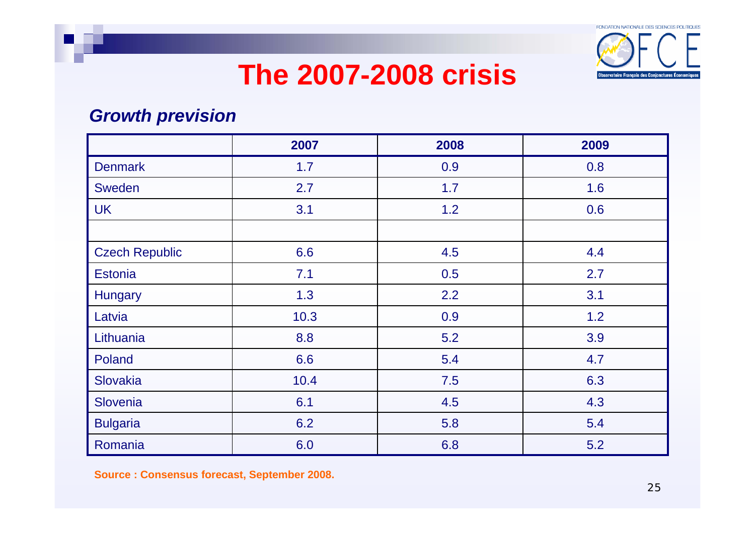

#### *Growth prevision*

|                       | 2007 | 2008 | 2009 |
|-----------------------|------|------|------|
| <b>Denmark</b>        | 1.7  | 0.9  | 0.8  |
| Sweden                | 2.7  | 1.7  | 1.6  |
| <b>UK</b>             | 3.1  | 1.2  | 0.6  |
|                       |      |      |      |
| <b>Czech Republic</b> | 6.6  | 4.5  | 4.4  |
| <b>Estonia</b>        | 7.1  | 0.5  | 2.7  |
| <b>Hungary</b>        | 1.3  | 2.2  | 3.1  |
| Latvia                | 10.3 | 0.9  | 1.2  |
| Lithuania             | 8.8  | 5.2  | 3.9  |
| Poland                | 6.6  | 5.4  | 4.7  |
| Slovakia              | 10.4 | 7.5  | 6.3  |
| Slovenia              | 6.1  | 4.5  | 4.3  |
| <b>Bulgaria</b>       | 6.2  | 5.8  | 5.4  |
| Romania               | 6.0  | 6.8  | 5.2  |

**Source : Consensus forecast, September 2008.**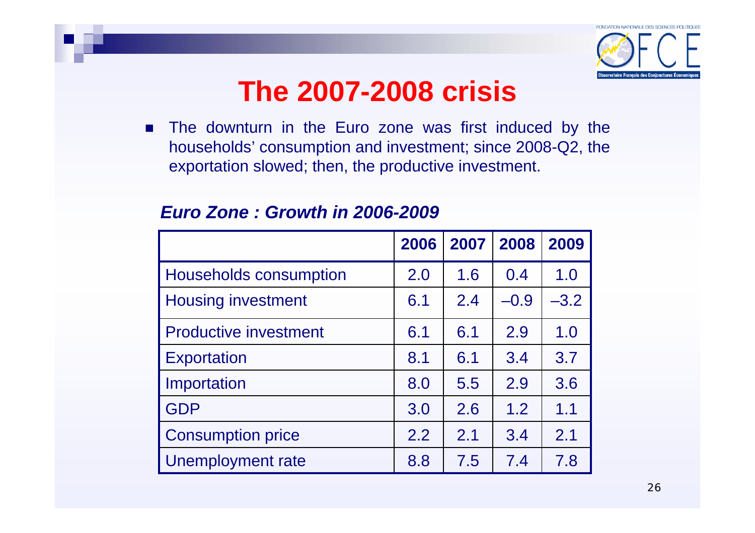

**The downturn in the Euro zone was first induced by the** households' consumption and investment; since 2008-Q2, the exportation slowed; then, the productive investment.

|                               | 2006 | 2007 | 2008   | 2009   |
|-------------------------------|------|------|--------|--------|
| <b>Households consumption</b> | 2.0  | 1.6  | 0.4    | 1.0    |
| <b>Housing investment</b>     | 6.1  | 2.4  | $-0.9$ | $-3.2$ |
| <b>Productive investment</b>  | 6.1  | 6.1  | 2.9    | 1.0    |
| <b>Exportation</b>            | 8.1  | 6.1  | 3.4    | 3.7    |
| Importation                   | 8.0  | 5.5  | 2.9    | 3.6    |
| <b>GDP</b>                    | 3.0  | 2.6  | 1.2    | 1.1    |
| <b>Consumption price</b>      | 2.2  | 2.1  | 3.4    | 2.1    |
| Unemployment rate             | 8.8  | 7.5  | 7.4    | 7.8    |

#### *Euro Zone : Growth in 2006-2009*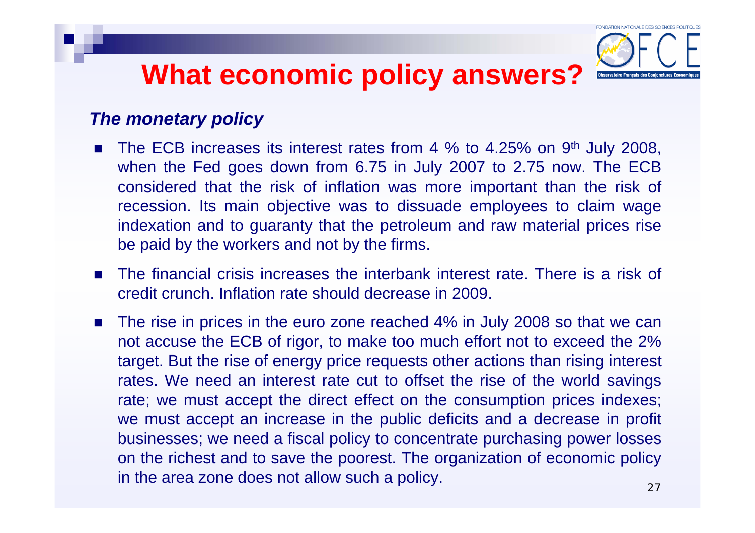

#### *The monetary policy*

- $\mathcal{L}_{\mathcal{A}}$ The ECB increases its interest rates from 4 % to 4.25% on 9<sup>th</sup> July 2008, when the Fed goes down from 6.75 in July 2007 to 2.75 now. The ECB considered that the risk of inflation was more important than the risk of recession. Its main objective was to dissuade employees to claim wage indexation and to guaranty that the petroleum and raw material prices rise be paid by the workers and not by the firms.
- The financial crisis increases the interbank interest rate. There is a risk of credit crunch. Inflation rate should decrease in 2009.
- The rise in prices in the euro zone reached 4% in July 2008 so that we can not accuse the ECB of rigor, to make too much effort not to exceed the 2% target. But the rise of energy price requests other actions than rising interest rates. We need an interest rate cut to offset the rise of the world savings rate; we must accept the direct effect on the consumption prices indexes; we must accept an increase in the public deficits and a decrease in profit businesses; we need a fiscal policy to concentrate purchasing power losses on the richest and to save the poorest. The organization of economic policy in the area zone does not allow such a policy.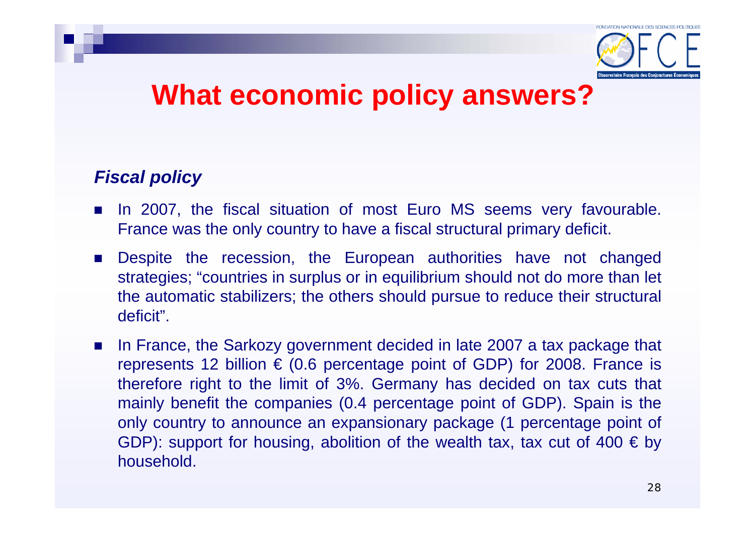

#### *Fiscal policy*

- **IF In 2007, the fiscal situation of most Euro MS seems very favourable.** France was the only country to have a fiscal structural primary deficit.
- Despite the recession, the European authorities have not changed strategies; "countries in surplus or in equilibrium should not do more than let the automatic stabilizers; the others should pursue to reduce their structural deficit".
- **College**  In France, the Sarkozy government decided in late 2007 a tax package that represents 12 billion  $\epsilon$  (0.6 percentage point of GDP) for 2008. France is therefore right to the limit of 3%. Germany has decided on tax cuts that mainly benefit the companies (0.4 percentage point of GDP). Spain is the only country to announce an expansionary package (1 percentage point of GDP): support for housing, abolition of the wealth tax, tax cut of 400  $\in$  by household.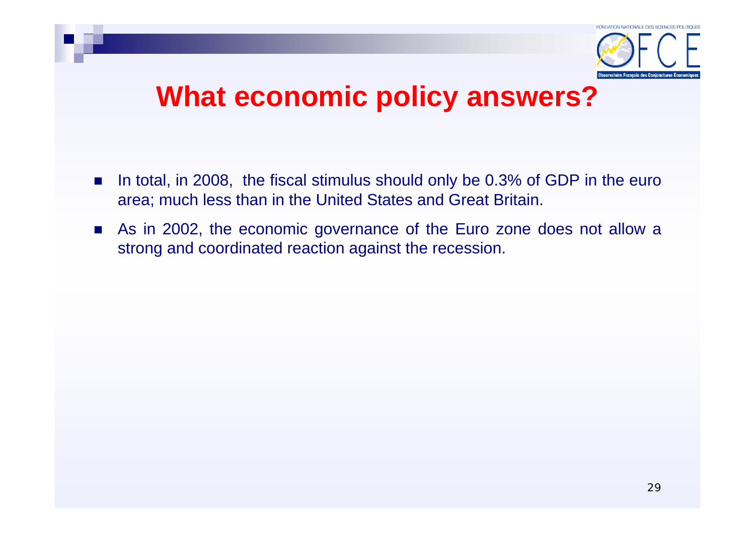

- $\mathcal{L}_{\text{max}}$  In total, in 2008, the fiscal stimulus should only be 0.3% of GDP in the euro area; much less than in the United States and Great Britain.
- **As in 2002, the economic governance of the Euro zone does not allow a** strong and coordinated reaction against the recession.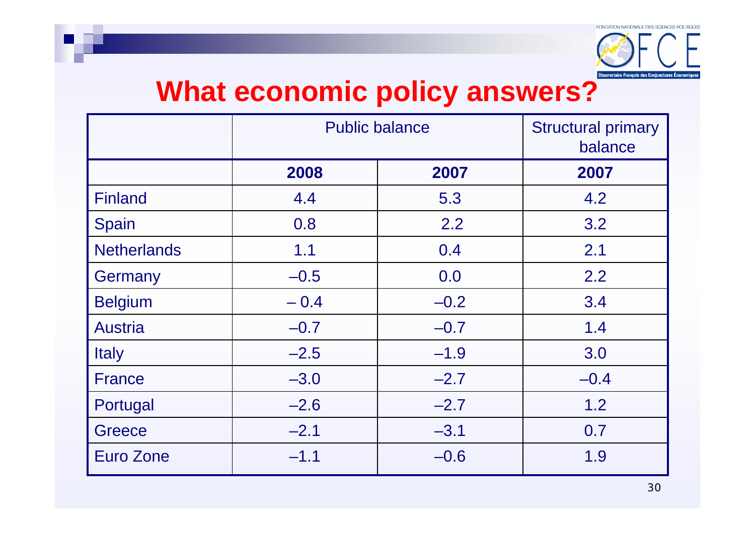

|                    | <b>Public balance</b> | <b>Structural primary</b><br>balance |        |
|--------------------|-----------------------|--------------------------------------|--------|
|                    | 2008                  | 2007                                 | 2007   |
| <b>Finland</b>     | 4.4                   | 5.3                                  | 4.2    |
| Spain              | 0.8                   | 2.2                                  | 3.2    |
| <b>Netherlands</b> | 1.1                   | 0.4                                  | 2.1    |
| Germany            | $-0.5$                | 0.0                                  | 2.2    |
| <b>Belgium</b>     | $-0.4$                | $-0.2$                               | 3.4    |
| <b>Austria</b>     | $-0.7$                | $-0.7$                               | 1.4    |
| <b>Italy</b>       | $-2.5$                | $-1.9$                               | 3.0    |
| <b>France</b>      | $-3.0$                | $-2.7$                               | $-0.4$ |
| Portugal           | $-2.6$                | $-2.7$                               | 1.2    |
| Greece             | $-2.1$                | $-3.1$                               | 0.7    |
| Euro Zone          | $-1.1$                | $-0.6$                               | 1.9    |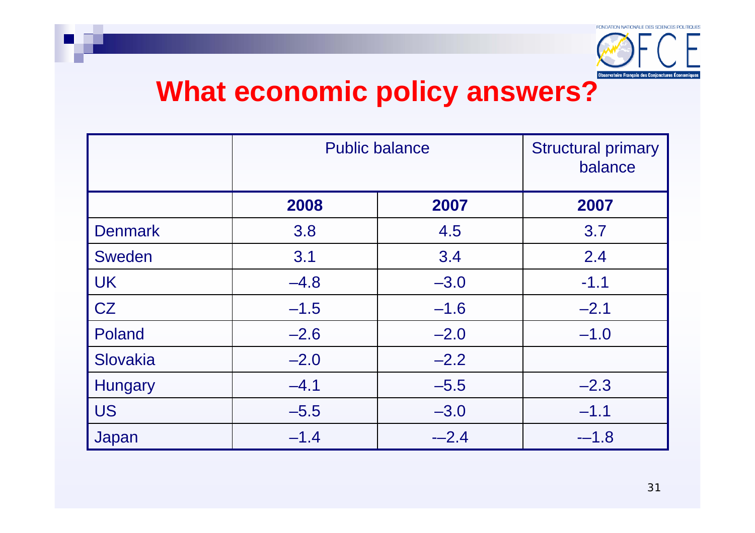

|                | <b>Public balance</b> | <b>Structural primary</b><br>balance |        |
|----------------|-----------------------|--------------------------------------|--------|
|                | 2008                  | 2007                                 | 2007   |
| <b>Denmark</b> | 3.8                   | 4.5                                  | 3.7    |
| <b>Sweden</b>  | 3.1                   | 3.4                                  | 2.4    |
| <b>UK</b>      | $-4.8$                | $-3.0$                               | $-1.1$ |
| CZ             | $-1.5$                | $-1.6$                               | $-2.1$ |
| Poland         | $-2.6$                | $-2.0$                               | $-1.0$ |
| Slovakia       | $-2.0$                | $-2.2$                               |        |
| <b>Hungary</b> | $-4.1$                | $-5.5$                               | $-2.3$ |
| <b>US</b>      | $-5.5$                | $-3.0$                               | $-1.1$ |
| Japan          | $-1.4$                | $-2.4$                               | $-1.8$ |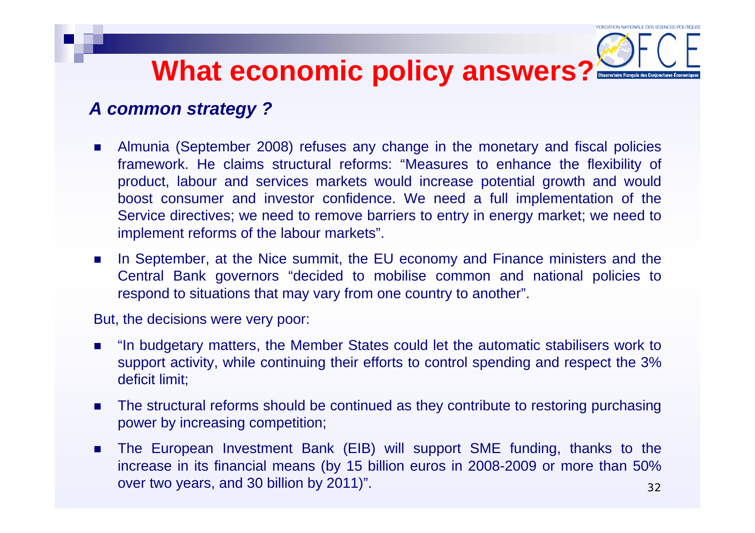#### *A common strategy ?*

- $\mathcal{L}_{\mathcal{A}}$  Almunia (September 2008) refuses any change in the monetary and fiscal policies framework. He claims structural reforms: "Measures to enhance the flexibility of product, labour and services markets would increase potential growth and would boost consumer and investor confidence. We need a full implementation of the Service directives; we need to remove barriers to entry in energy market; we need to implement reforms of the labour markets".
- $\mathbf{r}$  In September, at the Nice summit, the EU economy and Finance ministers and the Central Bank governors "decided to mobilise common and national policies to respond to situations that may vary from one country to another".

But, the decisions were very poor:

- $\mathcal{L}^{\text{max}}$  "In budgetary matters, the Member States could let the automatic stabilisers work to support activity, while continuing their efforts to control spending and respect the 3% deficit limit;
- $\mathcal{L}_{\mathcal{A}}$  The structural reforms should be continued as they contribute to restoring purchasing power by increasing competition;
- 32 $\mathbf{r}$  The European Investment Bank (EIB) will support SME funding, thanks to the increase in its financial means (by 15 billion euros in 2008-2009 or more than 50% over two years, and 30 billion by 2011)".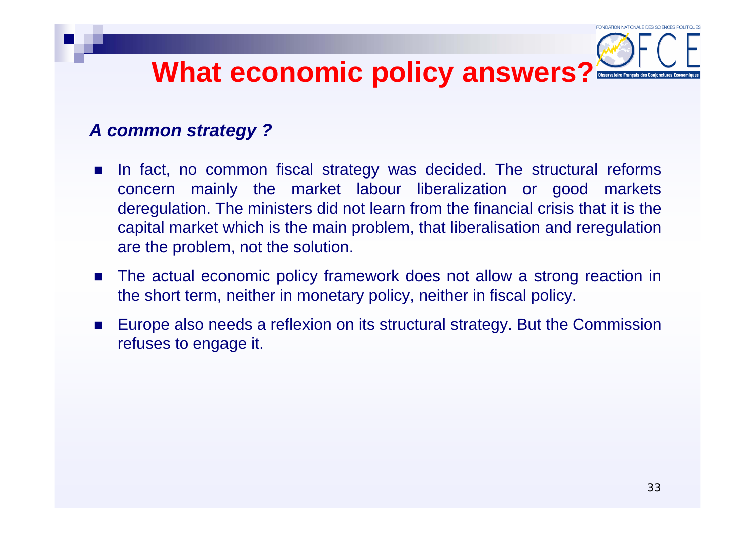#### *A common strategy ?*

- $\mathcal{L}^{\text{max}}_{\text{max}}$  In fact, no common fiscal strategy was decided. The structural reforms concern mainly the market labour liberalization or good markets deregulation. The ministers did not learn from the financial crisis that it is the capital market which is the main problem, that liberalisation and reregulation are the problem, not the solution.
- The actual economic policy framework does not allow a strong reaction in the short term, neither in monetary policy, neither in fiscal policy.
- Π Europe also needs a reflexion on its structural strategy. But the Commission refuses to engage it.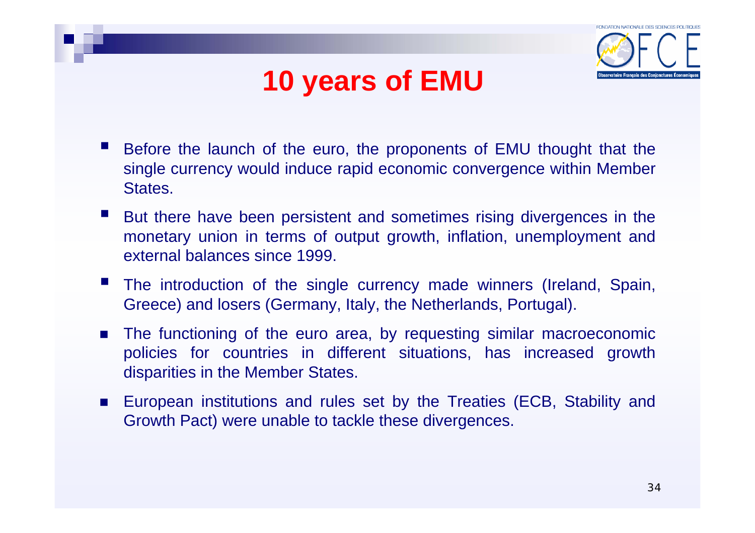



- Before the launch of the euro, the proponents of EMU thought that the single currency would induce rapid economic convergence within Member States.
- $\mathcal{L}(\mathcal{L})$  But there have been persistent and sometimes rising divergences in the monetary union in terms of output growth, inflation, unemployment and external balances since 1999.
- The introduction of the single currency made winners (Ireland, Spain, Greece) and losers (Germany, Italy, the Netherlands, Portugal).
- × The functioning of the euro area, by requesting similar macroeconomic policies for countries in different situations, has increased growth disparities in the Member States.
- European institutions and rules set by the Treaties (ECB, Stability and Growth Pact) were unable to tackle these divergences.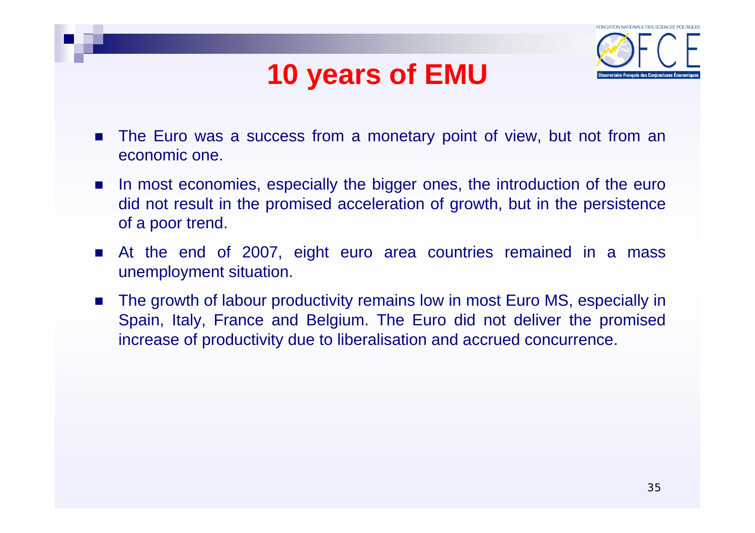## **10 years of EMU**



- The Euro was a success from a monetary point of view, but not from an economic one.
- $\mathcal{L}^{\text{max}}_{\text{max}}$ In most economies, especially the bigger ones, the introduction of the euro did not result in the promised acceleration of growth, but in the persistence of a poor trend.
- At the end of 2007, eight euro area countries remained in a mass unemployment situation.
- The growth of labour productivity remains low in most Euro MS, especially in Spain, Italy, France and Belgium. The Euro did not deliver the promised increase of productivity due to liberalisation and accrued concurrence.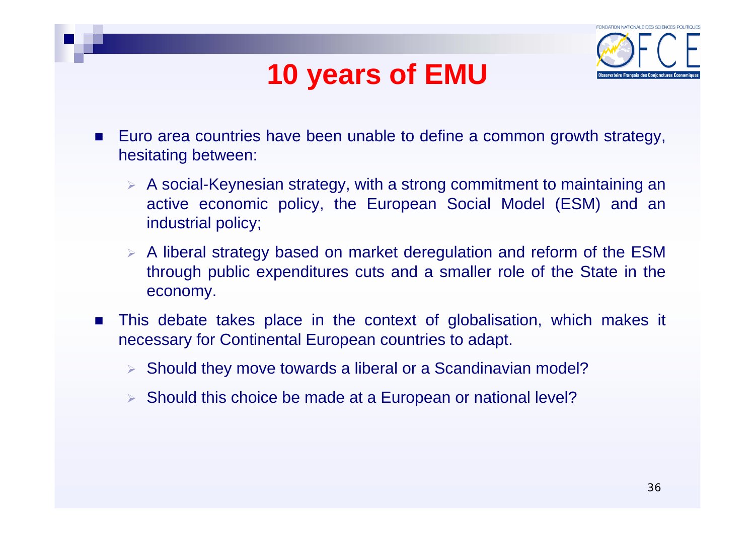## **10 years of EMU**



- × Euro area countries have been unable to define a common growth strategy, hesitating between:
	- $\triangleright$  A social-Keynesian strategy, with a strong commitment to maintaining an active economic policy, the European Social Model (ESM) and an industrial policy;
	- $\triangleright$  A liberal strategy based on market deregulation and reform of the ESM through public expenditures cuts and a smaller role of the State in the economy.
- $\sim 100$  This debate takes place in the context of globalisation, which makes it necessary for Continental European countries to adapt.
	- ¾ Should they move towards a liberal or a Scandinavian model?
	- ¾ Should this choice be made at a European or national level?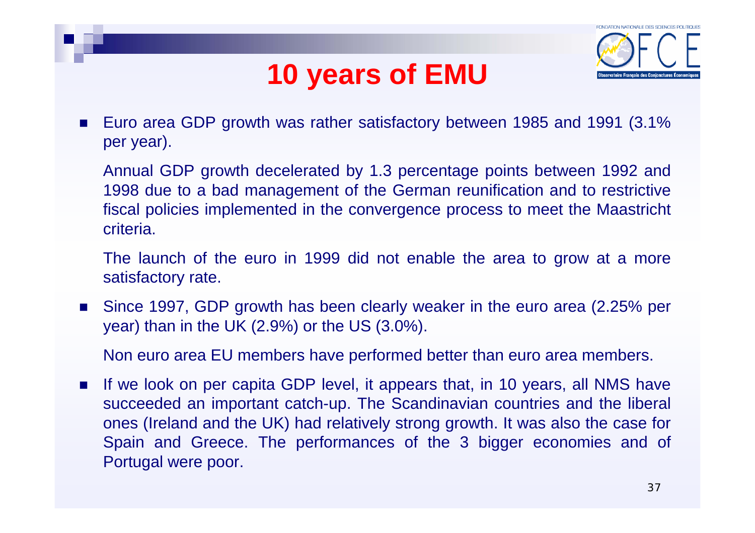## **10 years of EMU**



П Euro area GDP growth was rather satisfactory between 1985 and 1991 (3.1% per year).

Annual GDP growth decelerated by 1.3 percentage points between 1992 and 1998 due to a bad management of the German reunification and to restrictive fiscal policies implemented in the convergence process to meet the Maastricht criteria.

The launch of the euro in 1999 did not enable the area to grow at a more satisfactory rate.

П Since 1997, GDP growth has been clearly weaker in the euro area (2.25% per year) than in the UK (2.9%) or the US (3.0%).

Non euro area EU members have performed better than euro area members.

P. If we look on per capita GDP level, it appears that, in 10 years, all NMS have succeeded an important catch-up. The Scandinavian countries and the liberal ones (Ireland and the UK) had relatively strong growth. It was also the case for Spain and Greece. The performances of the 3 bigger economies and of Portugal were poor.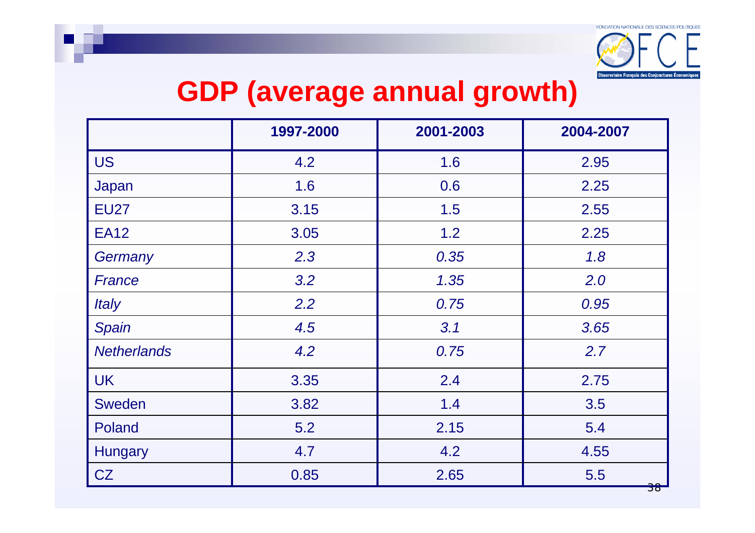

## **GDP (average annual growth)**

|                     | 1997-2000 | 2001-2003 | 2004-2007 |
|---------------------|-----------|-----------|-----------|
| <b>US</b>           | 4.2       | 1.6       | 2.95      |
| Japan               | 1.6       | 0.6       | 2.25      |
| <b>EU27</b>         | 3.15      | 1.5       | 2.55      |
| <b>EA12</b>         | 3.05      | 1.2       | 2.25      |
| Germany             | 2.3       | 0.35      | 1.8       |
| France              | 3.2       | 1.35      | 2.0       |
| <i><b>Italy</b></i> | 2.2       | 0.75      | 0.95      |
| Spain               | 4.5       | 3.1       | 3.65      |
| <b>Netherlands</b>  | 4.2       | 0.75      | 2.7       |
| <b>UK</b>           | 3.35      | 2.4       | 2.75      |
| Sweden              | 3.82      | 1.4       | 3.5       |
| Poland              | 5.2       | 2.15      | 5.4       |
| <b>Hungary</b>      | 4.7       | 4.2       | 4.55      |
| CZ                  | 0.85      | 2.65      | 5.5       |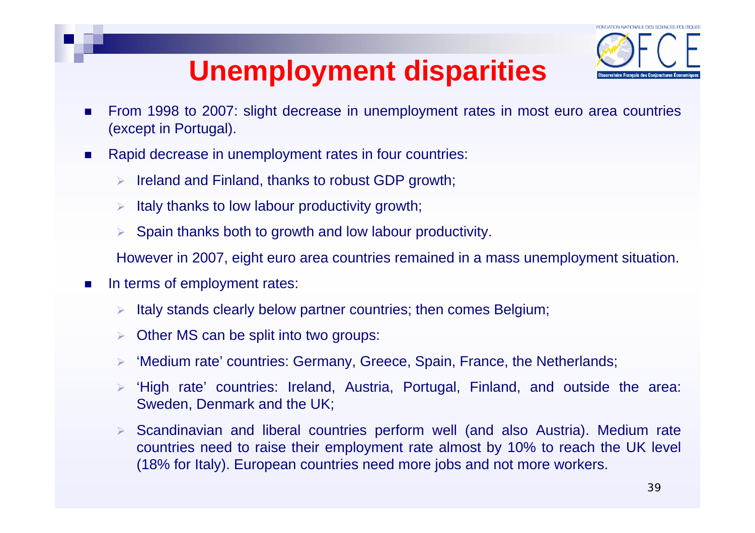

# **Unemployment disparities**

- $\blacksquare$  From 1998 to 2007: slight decrease in unemployment rates in most euro area countries (except in Portugal).
- $\overline{\phantom{a}}$  Rapid decrease in unemployment rates in four countries:
	- $\triangleright$  Ireland and Finland, thanks to robust GDP growth;
	- ¾Italy thanks to low labour productivity growth;
	- ¾Spain thanks both to growth and low labour productivity.

However in 2007, eight euro area countries remained in a mass unemployment situation.

- $\mathcal{L}_{\mathcal{A}}$  In terms of employment rates:
	- ¾Italy stands clearly below partner countries; then comes Belgium;
	- ¾Other MS can be split into two groups:
	- ¾'Medium rate' countries: Germany, Greece, Spain, France, the Netherlands;
	- ¾ 'High rate' countries: Ireland, Austria, Portugal, Finland, and outside the area: Sweden, Denmark and the UK;
	- ¾ Scandinavian and liberal countries perform well (and also Austria). Medium rate countries need to raise their employment rate almost by 10% to reach the UK level (18% for Italy). European countries need more jobs and not more workers.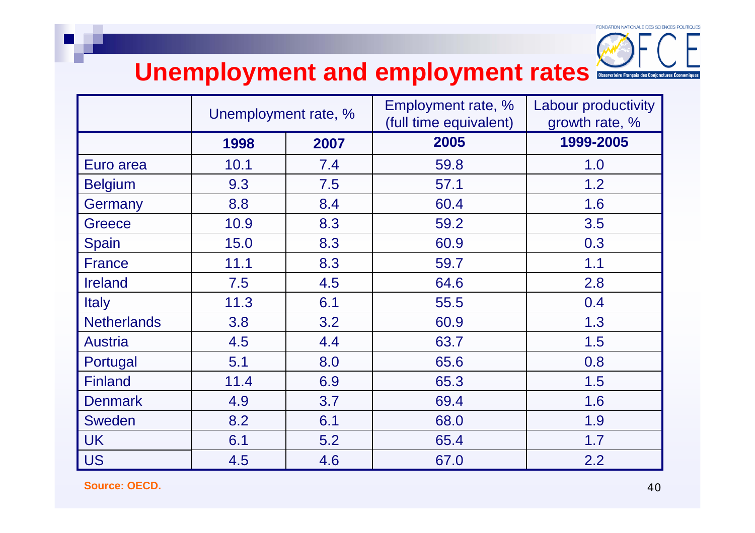

#### Unemployment and employment rates

|                    | Unemployment rate, % |      | Employment rate, %<br>(full time equivalent) | Labour productivity<br>growth rate, % |
|--------------------|----------------------|------|----------------------------------------------|---------------------------------------|
|                    | 1998                 | 2007 | 2005                                         | 1999-2005                             |
| Euro area          | 10.1                 | 7.4  | 59.8                                         | 1.0                                   |
| <b>Belgium</b>     | 9.3                  | 7.5  | 57.1                                         | 1.2                                   |
| Germany            | 8.8                  | 8.4  | 60.4                                         | 1.6                                   |
| <b>Greece</b>      | 10.9                 | 8.3  | 59.2                                         | 3.5                                   |
| <b>Spain</b>       | 15.0                 | 8.3  | 60.9                                         | 0.3                                   |
| <b>France</b>      | 11.1                 | 8.3  | 59.7                                         | 1.1                                   |
| <b>Ireland</b>     | 7.5                  | 4.5  | 64.6                                         | 2.8                                   |
| <b>Italy</b>       | 11.3                 | 6.1  | 55.5                                         | 0.4                                   |
| <b>Netherlands</b> | 3.8                  | 3.2  | 60.9                                         | 1.3                                   |
| <b>Austria</b>     | 4.5                  | 4.4  | 63.7                                         | 1.5                                   |
| Portugal           | 5.1                  | 8.0  | 65.6                                         | 0.8                                   |
| <b>Finland</b>     | 11.4                 | 6.9  | 65.3                                         | 1.5                                   |
| <b>Denmark</b>     | 4.9                  | 3.7  | 69.4                                         | 1.6                                   |
| Sweden             | 8.2                  | 6.1  | 68.0                                         | 1.9                                   |
| <b>UK</b>          | 6.1                  | 5.2  | 65.4                                         | 1.7                                   |
| <b>US</b>          | 4.5                  | 4.6  | 67.0                                         | 2.2                                   |

**Source: OECD.**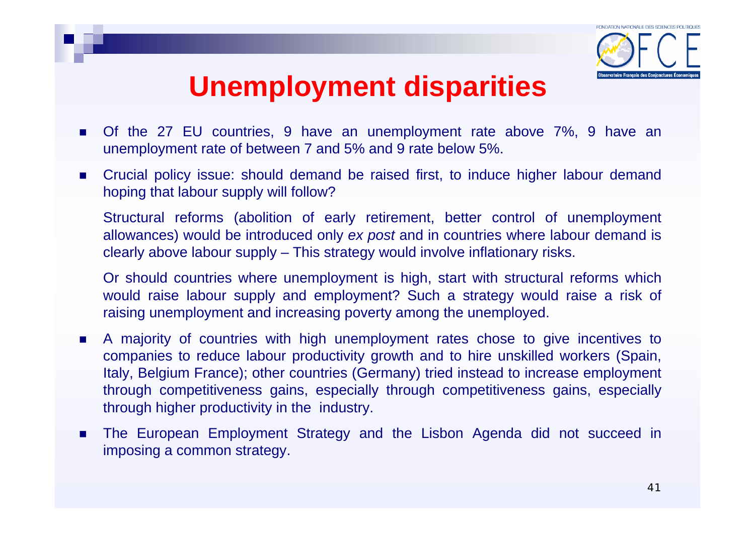

## **Unemployment disparities**

- Of the 27 EU countries, 9 have an unemployment rate above 7%, 9 have an unemployment rate of between 7 and 5% and 9 rate below 5%.
- $\mathcal{L}_{\mathcal{A}}$  Crucial policy issue: should demand be raised first, to induce higher labour demand hoping that labour supply will follow?

Structural reforms (abolition of early retirement, better control of unemployment allowances) would be introduced only *ex post* and in countries where labour demand is clearly above labour supply – This strategy would involve inflationary risks.

Or should countries where unemployment is high, start with structural reforms which would raise labour supply and employment? Such a strategy would raise a risk of raising unemployment and increasing poverty among the unemployed.

- F A majority of countries with high unemployment rates chose to give incentives to companies to reduce labour productivity growth and to hire unskilled workers (Spain, Italy, Belgium France); other countries (Germany) tried instead to increase employment through competitiveness gains, especially through competitiveness gains, especially through higher productivity in the industry.
- F The European Employment Strategy and the Lisbon Agenda did not succeed in imposing a common strategy.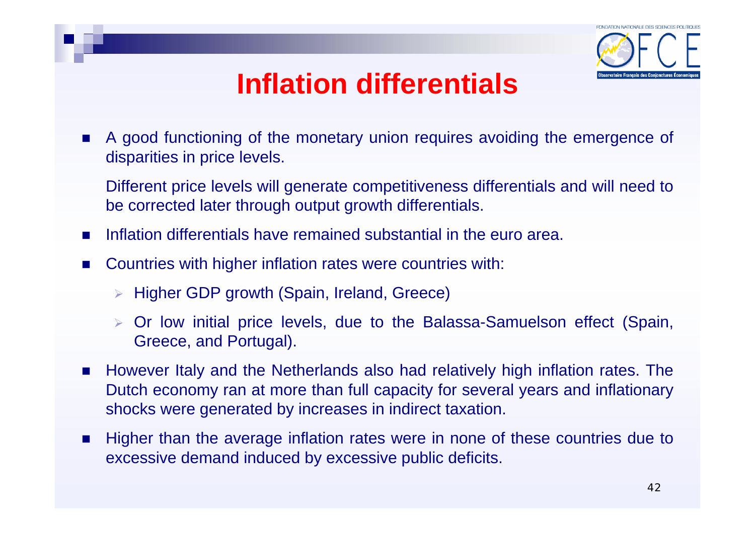

## **Inflation differentials**

 $\sim$  A good functioning of the monetary union requires avoiding the emergence of disparities in price levels.

Different price levels will generate competitiveness differentials and will need to be corrected later through output growth differentials.

- $\mathcal{L}_{\mathcal{A}}$ Inflation differentials have remained substantial in the euro area.
- **College**  Countries with higher inflation rates were countries with:
	- ¾ Higher GDP growth (Spain, Ireland, Greece)
	- ¾ Or low initial price levels, due to the Balassa-Samuelson effect (Spain, Greece, and Portugal).
- $\mathcal{L}_{\mathcal{A}}$  However Italy and the Netherlands also had relatively high inflation rates. The Dutch economy ran at more than full capacity for several years and inflationary shocks were generated by increases in indirect taxation.
- $\mathcal{L}_{\mathcal{A}}$  Higher than the average inflation rates were in none of these countries due to excessive demand induced by excessive public deficits.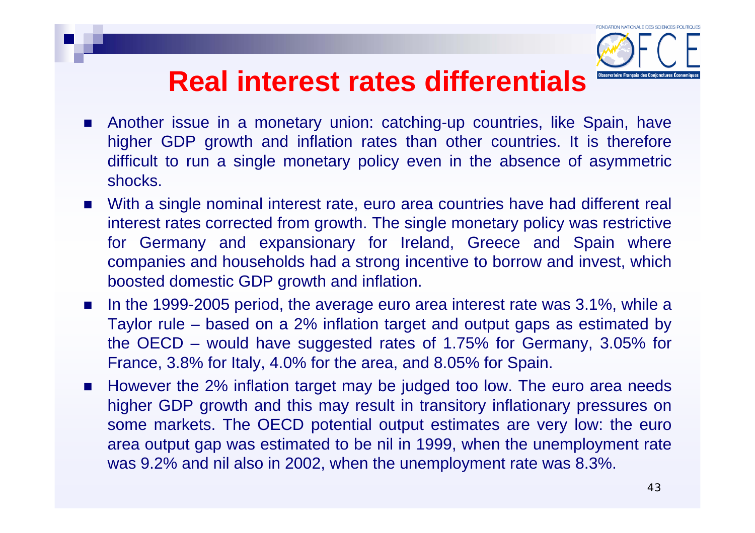## **Real interest rates differentials**



- $\mathcal{L}_{\mathcal{A}}$  Another issue in a monetary union: catching-up countries, like Spain, have higher GDP growth and inflation rates than other countries. It is therefore difficult to run a single monetary policy even in the absence of asymmetric shocks.
- $\mathcal{L}_{\mathcal{A}}$  With a single nominal interest rate, euro area countries have had different real interest rates corrected from growth. The single monetary policy was restrictive for Germany and expansionary for Ireland, Greece and Spain where companies and households had a strong incentive to borrow and invest, which boosted domestic GDP growth and inflation.
- $\mathcal{L}_{\mathcal{A}}$  In the 1999-2005 period, the average euro area interest rate was 3.1%, while <sup>a</sup> Taylor rule – based on a 2% inflation target and output gaps as estimated by the OECD – would have suggested rates of 1.75% for Germany, 3.05% for France, 3.8% for Italy, 4.0% for the area, and 8.05% for Spain.
- $\mathcal{L}_{\rm{max}}$  However the 2% inflation target may be judged too low. The euro area needs higher GDP growth and this may result in transitory inflationary pressures on some markets. The OECD potential output estimates are very low: the euro area output gap was estimated to be nil in 1999, when the unemployment rate was 9.2% and nil also in 2002, when the unemployment rate was 8.3%.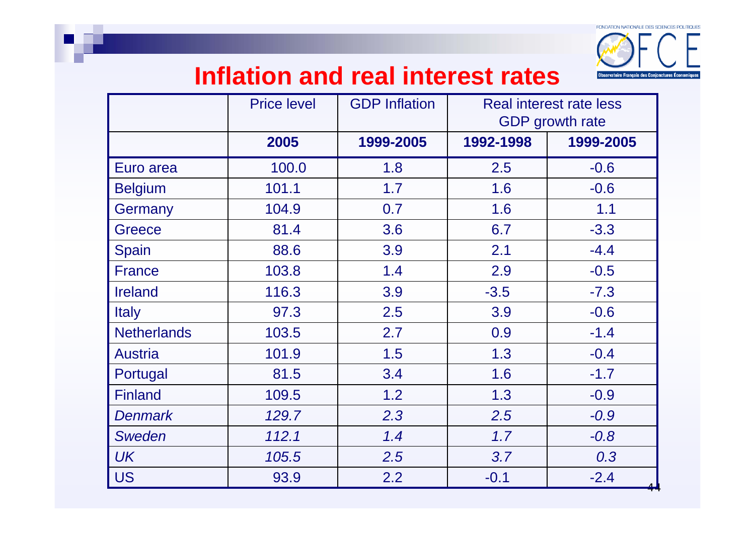

#### **Inflation and real interest rates**

|                    | <b>Price level</b> | <b>GDP Inflation</b> | <b>Real interest rate less</b><br><b>GDP</b> growth rate |           |
|--------------------|--------------------|----------------------|----------------------------------------------------------|-----------|
|                    | 2005               | 1999-2005            | 1992-1998                                                | 1999-2005 |
| Euro area          | 100.0              | 1.8                  | 2.5                                                      | $-0.6$    |
| <b>Belgium</b>     | 101.1              | 1.7                  | 1.6                                                      | $-0.6$    |
| Germany            | 104.9              | 0.7                  | 1.6                                                      | 1.1       |
| <b>Greece</b>      | 81.4               | 3.6                  | 6.7                                                      | $-3.3$    |
| <b>Spain</b>       | 88.6               | 3.9                  | 2.1                                                      | $-4.4$    |
| <b>France</b>      | 103.8              | 1.4                  | 2.9                                                      | $-0.5$    |
| <b>Ireland</b>     | 116.3              | 3.9                  | $-3.5$                                                   | $-7.3$    |
| <b>Italy</b>       | 97.3               | 2.5                  | 3.9                                                      | $-0.6$    |
| <b>Netherlands</b> | 103.5              | 2.7                  | 0.9                                                      | $-1.4$    |
| <b>Austria</b>     | 101.9              | 1.5                  | 1.3                                                      | $-0.4$    |
| Portugal           | 81.5               | 3.4                  | 1.6                                                      | $-1.7$    |
| <b>Finland</b>     | 109.5              | 1.2                  | 1.3                                                      | $-0.9$    |
| <b>Denmark</b>     | 129.7              | 2.3                  | 2.5                                                      | $-0.9$    |
| <b>Sweden</b>      | 112.1              | 1.4                  | 1.7                                                      | $-0.8$    |
| <b>UK</b>          | 105.5              | 2.5                  | 3.7                                                      | 0.3       |
| <b>US</b>          | 93.9               | 2.2                  | $-0.1$                                                   | $-2.4$    |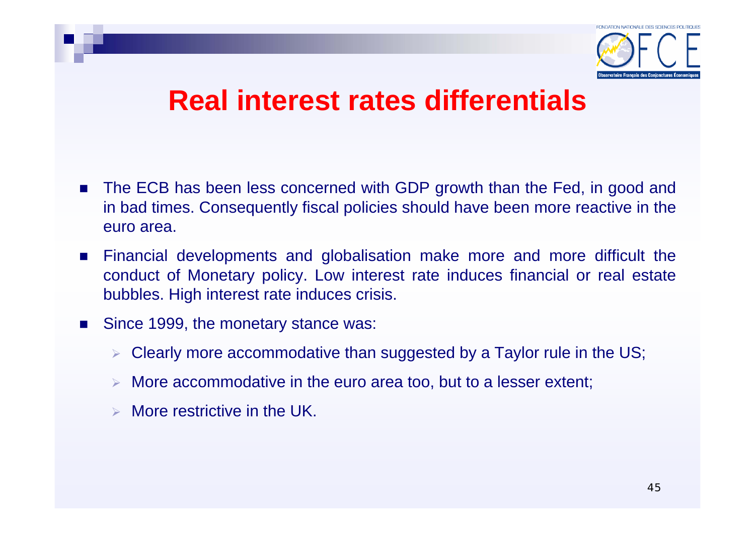

#### **Real interest rates differentials**

- F The ECB has been less concerned with GDP growth than the Fed, in good and in bad times. Consequently fiscal policies should have been more reactive in the euro area.
- F Financial developments and globalisation make more and more difficult the conduct of Monetary policy. Low interest rate induces financial or real estate bubbles. High interest rate induces crisis.
- Since 1999, the monetary stance was:
	- $\triangleright$  Clearly more accommodative than suggested by a Taylor rule in the US;
	- ¾More accommodative in the euro area too, but to a lesser extent;
	- ¾More restrictive in the UK.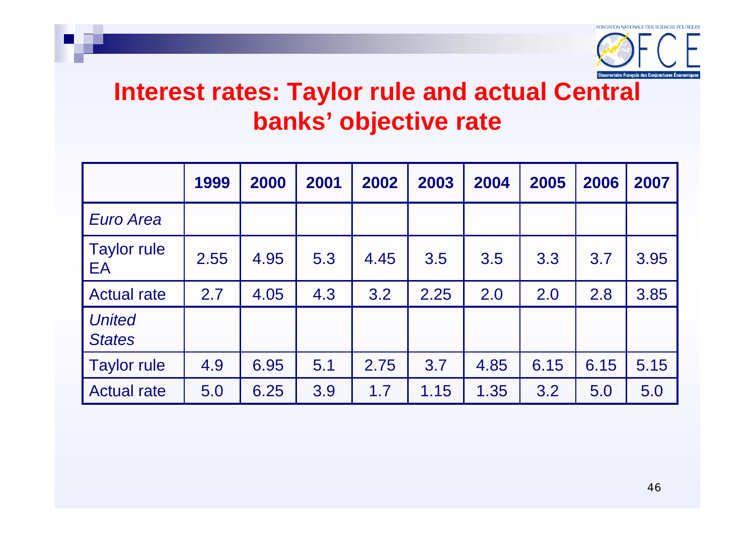

#### **Interest rates: Taylor rule and actual Central banks' objective rate**

|                                | 1999 | 2000 | 2001 | 2002 | 2003 | 2004 | 2005 | 2006 | 2007 |
|--------------------------------|------|------|------|------|------|------|------|------|------|
| <b>Euro Area</b>               |      |      |      |      |      |      |      |      |      |
| <b>Taylor rule</b><br>EA       | 2.55 | 4.95 | 5.3  | 4.45 | 3.5  | 3.5  | 3.3  | 3.7  | 3.95 |
| <b>Actual rate</b>             | 2.7  | 4.05 | 4.3  | 3.2  | 2.25 | 2.0  | 2.0  | 2.8  | 3.85 |
| <b>United</b><br><b>States</b> |      |      |      |      |      |      |      |      |      |
| <b>Taylor rule</b>             | 4.9  | 6.95 | 5.1  | 2.75 | 3.7  | 4.85 | 6.15 | 6.15 | 5.15 |
| <b>Actual rate</b>             | 5.0  | 6.25 | 3.9  | 1.7  | 1.15 | 1.35 | 3.2  | 5.0  | 5.0  |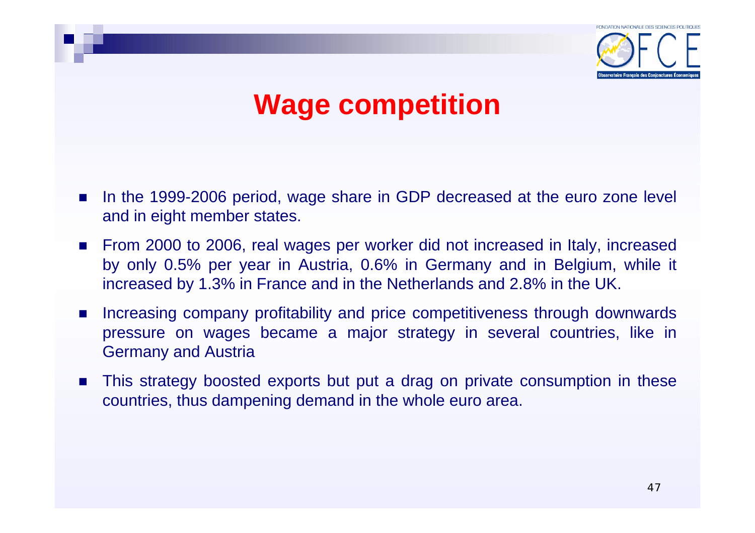

## **Wage competition**

- П In the 1999-2006 period, wage share in GDP decreased at the euro zone level and in eight member states.
- From 2000 to 2006, real wages per worker did not increased in Italy, increased by only 0.5% per year in Austria, 0.6% in Germany and in Belgium, while it increased by 1.3% in France and in the Netherlands and 2.8% in the UK.
- $\mathcal{L}^{\text{max}}$  Increasing company profitability and price competitiveness through downwards pressure on wages became a major strategy in several countries, like in Germany and Austria
- $\mathcal{L}_{\mathcal{A}}$  This strategy boosted exports but put a drag on private consumption in these countries, thus dampening demand in the whole euro area.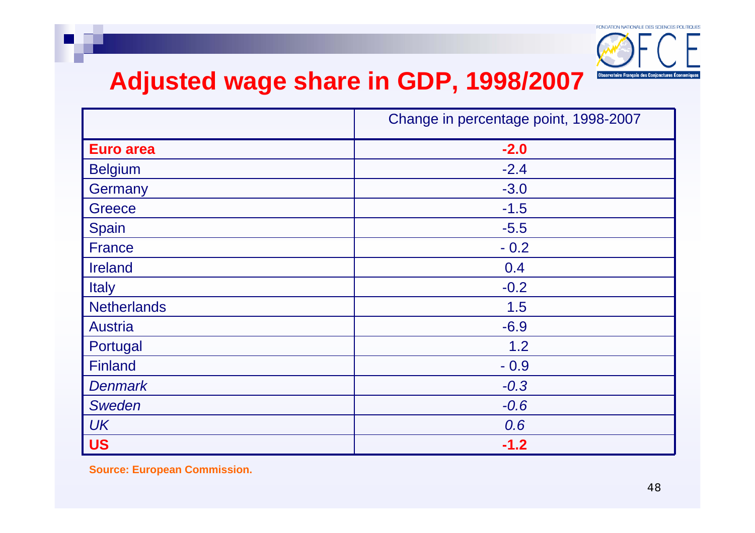

#### **Adjusted wage share in GDP, 1998/2007**

|                    | Change in percentage point, 1998-2007 |  |  |
|--------------------|---------------------------------------|--|--|
| <b>Euro area</b>   | $-2.0$                                |  |  |
| <b>Belgium</b>     | $-2.4$                                |  |  |
| Germany            | $-3.0$                                |  |  |
| Greece             | $-1.5$                                |  |  |
| Spain              | $-5.5$                                |  |  |
| <b>France</b>      | $-0.2$                                |  |  |
| Ireland            | 0.4                                   |  |  |
| <b>Italy</b>       | $-0.2$                                |  |  |
| <b>Netherlands</b> | 1.5                                   |  |  |
| <b>Austria</b>     | $-6.9$                                |  |  |
| Portugal           | 1.2                                   |  |  |
| <b>Finland</b>     | $-0.9$                                |  |  |
| <b>Denmark</b>     | $-0.3$                                |  |  |
| <b>Sweden</b>      | $-0.6$                                |  |  |
| <b>UK</b>          | 0.6                                   |  |  |
| <b>US</b>          | $-1.2$                                |  |  |

**Source: European Commission.**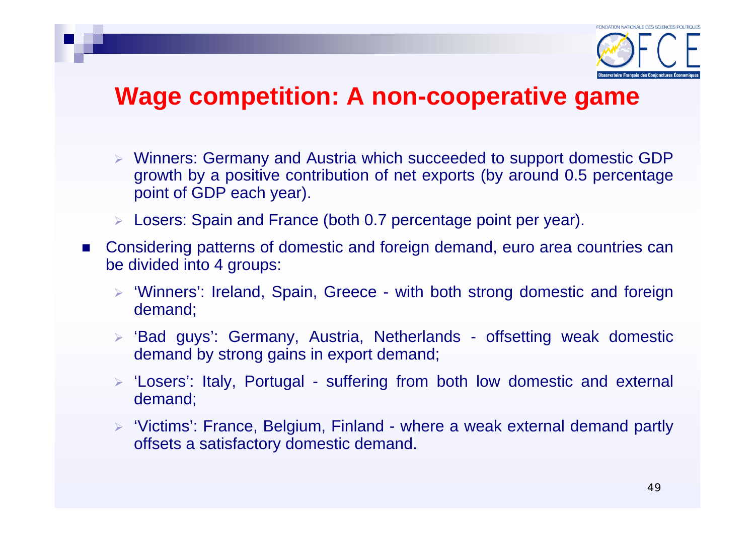

#### **Wage competition: A non-cooperative game**

- ¾ Winners: Germany and Austria which succeeded to support domestic GDP growth by a positive contribution of net exports (by around 0.5 percentage point of GDP each year).
- ¾ Losers: Spain and France (both 0.7 percentage point per year).
- $\mathcal{L}_{\text{max}}$  Considering patterns of domestic and foreign demand, euro area countries can be divided into 4 groups:
	- ¾ 'Winners': Ireland, Spain, Greece with both strong domestic and foreign demand;
	- ¾ 'Bad guys': Germany, Austria, Netherlands offsetting weak domestic demand by strong gains in export demand;
	- ¾ 'Losers': Italy, Portugal suffering from both low domestic and external demand;
	- ¾ 'Victims': France, Belgium, Finland where a weak external demand partly offsets a satisfactory domestic demand.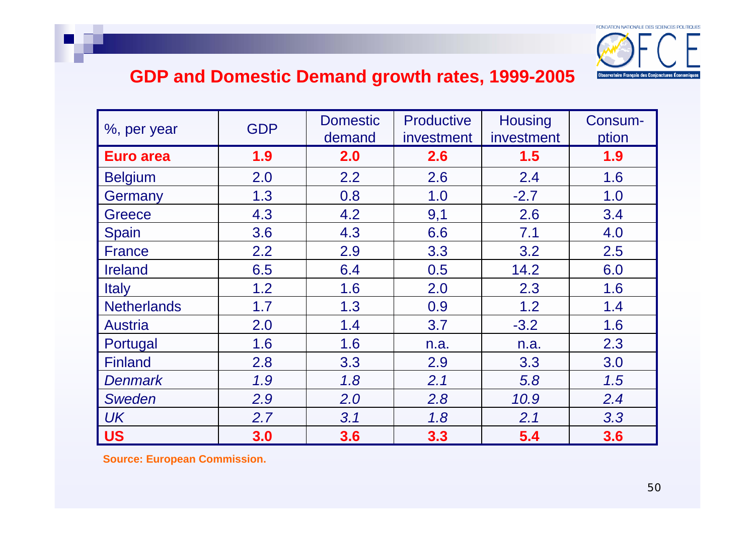

#### **GDP and Domestic Demand growth rates, 1999-2005**

| %, per year        | <b>GDP</b> | <b>Domestic</b><br>demand | <b>Productive</b><br>investment | <b>Housing</b><br>investment | Consum-<br>ption |
|--------------------|------------|---------------------------|---------------------------------|------------------------------|------------------|
| <b>Euro area</b>   | 1.9        | 2.0                       | 2.6                             | 1.5                          | 1.9              |
| <b>Belgium</b>     | 2.0        | 2.2                       | 2.6                             | 2.4                          | 1.6              |
| Germany            | 1.3        | 0.8                       | 1.0                             | $-2.7$                       | 1.0              |
| Greece             | 4.3        | 4.2                       | 9,1                             | 2.6                          | 3.4              |
| <b>Spain</b>       | 3.6        | 4.3                       | 6.6                             | 7.1                          | 4.0              |
| <b>France</b>      | 2.2        | 2.9                       | 3.3                             | 3.2                          | 2.5              |
| <b>Ireland</b>     | 6.5        | 6.4                       | 0.5                             | 14.2                         | 6.0              |
| <b>Italy</b>       | 1.2        | 1.6                       | 2.0                             | 2.3                          | 1.6              |
| <b>Netherlands</b> | 1.7        | 1.3                       | 0.9                             | 1.2                          | 1.4              |
| <b>Austria</b>     | 2.0        | 1.4                       | 3.7                             | $-3.2$                       | 1.6              |
| Portugal           | 1.6        | 1.6                       | n.a.                            | n.a.                         | 2.3              |
| <b>Finland</b>     | 2.8        | 3.3                       | 2.9                             | 3.3                          | 3.0              |
| <b>Denmark</b>     | 1.9        | 1.8                       | 2.1                             | 5.8                          | 1.5              |
| <b>Sweden</b>      | 2.9        | 2.0                       | 2.8                             | 10.9                         | 2.4              |
| <b>UK</b>          | 2.7        | 3.1                       | 1.8                             | 2.1                          | 3.3              |
| <b>US</b>          | 3.0        | 3.6                       | 3.3                             | 5.4                          | 3.6              |

**Source: European Commission.**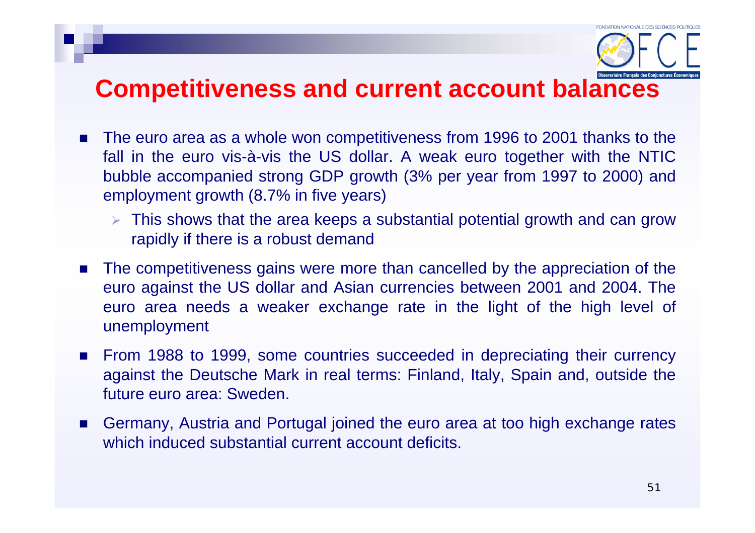#### **Competitiveness and current account balances**

- The euro area as a whole won competitiveness from 1996 to 2001 thanks to the fall in the euro vis-à-vis the US dollar. A weak euro together with the NTIC bubble accompanied strong GDP growth (3% per year from 1997 to 2000) and employment growth (8.7% in five years)
	- $\triangleright$  This shows that the area keeps a substantial potential growth and can grow rapidly if there is a robust demand
- П The competitiveness gains were more than cancelled by the appreciation of the euro against the US dollar and Asian currencies between 2001 and 2004. The euro area needs a weaker exchange rate in the light of the high level of unemployment
- П From 1988 to 1999, some countries succeeded in depreciating their currency against the Deutsche Mark in real terms: Finland, Italy, Spain and, outside the future euro area: Sweden.
- П Germany, Austria and Portugal joined the euro area at too high exchange rates which induced substantial current account deficits.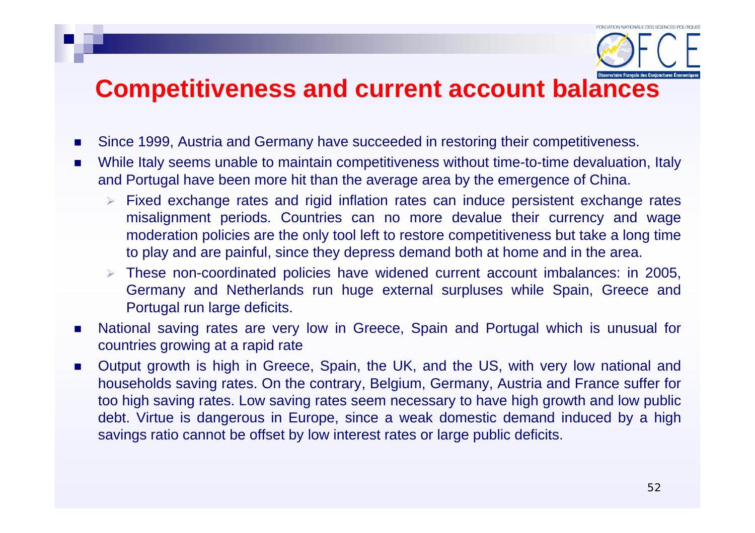#### **Competitiveness and current account balances**

- $\mathcal{L}_{\mathcal{A}}$ Since 1999, Austria and Germany have succeeded in restoring their competitiveness.
- $\blacksquare$  While Italy seems unable to maintain competitiveness without time-to-time devaluation, Italy and Portugal have been more hit than the average area by the emergence of China.
	- $\triangleright$  Fixed exchange rates and rigid inflation rates can induce persistent exchange rates misalignment periods. Countries can no more devalue their currency and wage moderation policies are the only tool left to restore competitiveness but take a long time to play and are painful, since they depress demand both at home and in the area.
	- ¾ These non-coordinated policies have widened current account imbalances: in 2005, Germany and Netherlands run huge external surpluses while Spain, Greece and Portugal run large deficits.
- $\mathcal{L}_{\mathcal{A}}$  National saving rates are very low in Greece, Spain and Portugal which is unusual for countries growing at a rapid rate
- $\mathcal{L}_{\mathcal{A}}$  Output growth is high in Greece, Spain, the UK, and the US, with very low national and households saving rates. On the contrary, Belgium, Germany, Austria and France suffer for too high saving rates. Low saving rates seem necessary to have high growth and low public debt. Virtue is dangerous in Europe, since a weak domestic demand induced by a high savings ratio cannot be offset by low interest rates or large public deficits.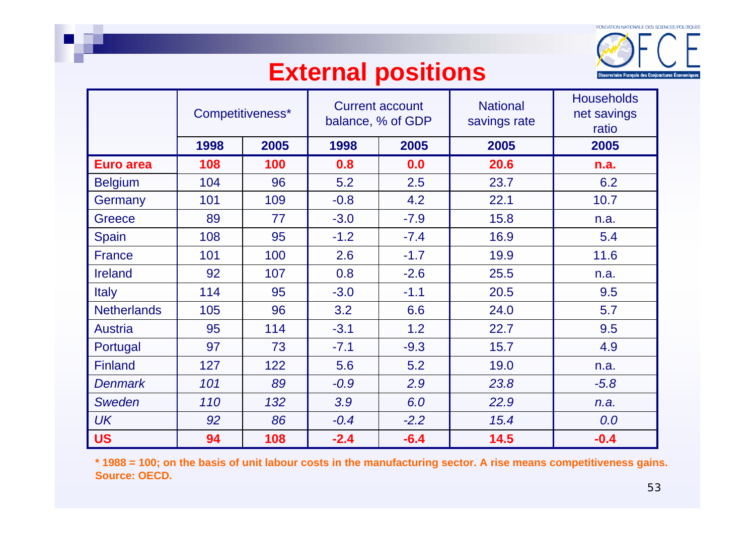

#### **External positions**

|                    |      | Competitiveness* | <b>Current account</b><br>balance, % of GDP |        | <b>National</b><br>savings rate | <b>Households</b><br>net savings<br>ratio |
|--------------------|------|------------------|---------------------------------------------|--------|---------------------------------|-------------------------------------------|
|                    | 1998 | 2005             | 1998                                        | 2005   | 2005                            | 2005                                      |
| Euro area          | 108  | 100              | 0.8                                         | 0.0    | 20.6                            | n.a.                                      |
| <b>Belgium</b>     | 104  | 96               | 5.2                                         | 2.5    | 23.7                            | 6.2                                       |
| Germany            | 101  | 109              | $-0.8$                                      | 4.2    | 22.1                            | 10.7                                      |
| Greece             | 89   | 77               | $-3.0$                                      | $-7.9$ | 15.8                            | n.a.                                      |
| Spain              | 108  | 95               | $-1.2$                                      | $-7.4$ | 16.9                            | 5.4                                       |
| <b>France</b>      | 101  | 100              | 2.6                                         | $-1.7$ | 19.9                            | 11.6                                      |
| <b>Ireland</b>     | 92   | 107              | 0.8                                         | $-2.6$ | 25.5                            | n.a.                                      |
| <b>Italy</b>       | 114  | 95               | $-3.0$                                      | $-1.1$ | 20.5                            | 9.5                                       |
| <b>Netherlands</b> | 105  | 96               | 3.2                                         | 6.6    | 24.0                            | 5.7                                       |
| <b>Austria</b>     | 95   | 114              | $-3.1$                                      | 1.2    | 22.7                            | 9.5                                       |
| Portugal           | 97   | 73               | $-7.1$                                      | $-9.3$ | 15.7                            | 4.9                                       |
| <b>Finland</b>     | 127  | 122              | 5.6                                         | 5.2    | 19.0                            | n.a.                                      |
| <b>Denmark</b>     | 101  | 89               | $-0.9$                                      | 2.9    | 23.8                            | $-5.8$                                    |
| <b>Sweden</b>      | 110  | 132              | 3.9                                         | 6.0    | 22.9                            | n.a.                                      |
| <b>UK</b>          | 92   | 86               | $-0.4$                                      | $-2.2$ | 15.4                            | 0.0                                       |
| <b>US</b>          | 94   | 108              | $-2.4$                                      | $-6.4$ | 14.5                            | $-0.4$                                    |

**\* 1988 = 100; on the basis of unit labour costs in the manufacturing sector. A rise means competitiveness gains. Source: OECD.**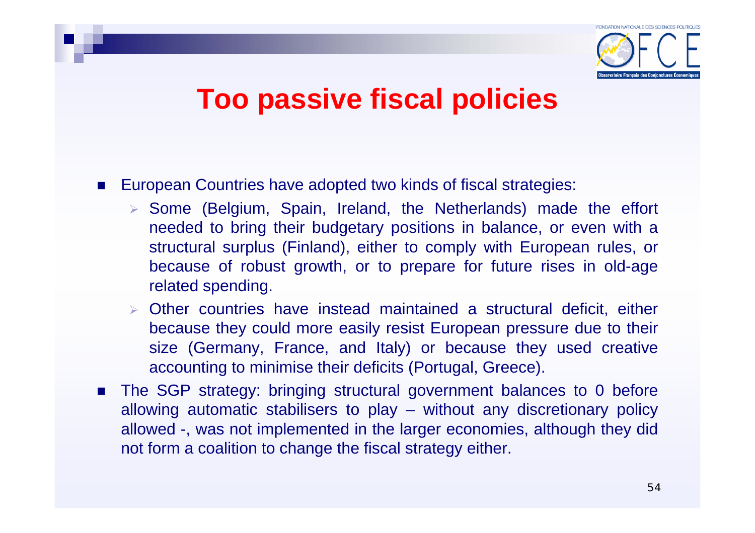

## **Too passive fiscal policies**

- П European Countries have adopted two kinds of fiscal strategies:
	- ¾ Some (Belgium, Spain, Ireland, the Netherlands) made the effort needed to bring their budgetary positions in balance, or even with a structural surplus (Finland), either to comply with European rules, or because of robust growth, or to prepare for future rises in old-age related spending.
	- ¾ Other countries have instead maintained a structural deficit, either because they could more easily resist European pressure due to their size (Germany, France, and Italy) or because they used creative accounting to minimise their deficits (Portugal, Greece).
- П The SGP strategy: bringing structural government balances to 0 before allowing automatic stabilisers to play – without any discretionary policy allowed -, was not implemented in the larger economies, although they did not form a coalition to change the fiscal strategy either.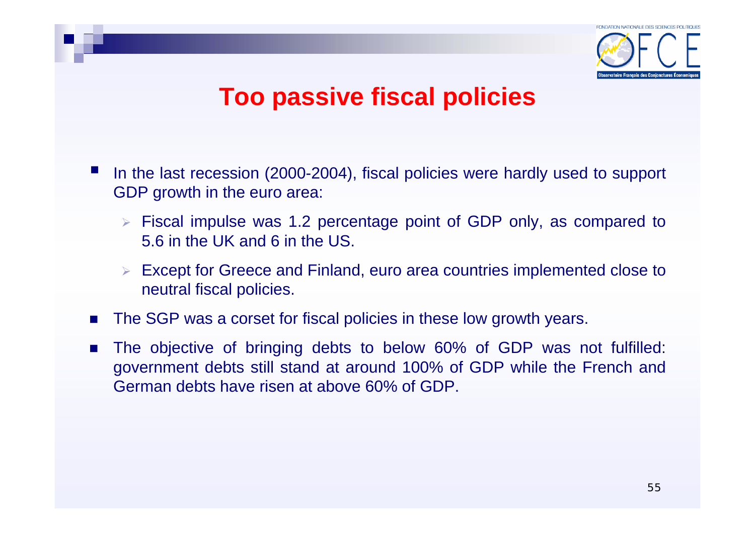

#### **Too passive fiscal policies**

- In the last recession (2000-2004), fiscal policies were hardly used to support GDP growth in the euro area:
	- ¾ Fiscal impulse was 1.2 percentage point of GDP only, as compared to 5.6 in the UK and 6 in the US.
	- ¾ Except for Greece and Finland, euro area countries implemented close to neutral fiscal policies.
- П The SGP was a corset for fiscal policies in these low growth years.
- F The objective of bringing debts to below 60% of GDP was not fulfilled: government debts still stand at around 100% of GDP while the French and German debts have risen at above 60% of GDP.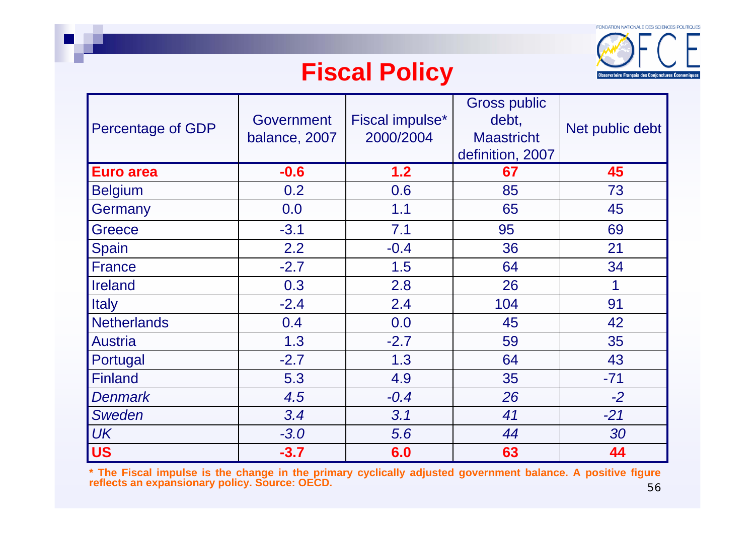

#### **Fiscal Policy**

| Percentage of GDP  | Government<br>balance, 2007 | Fiscal impulse*<br>2000/2004 | <b>Gross public</b><br>debt,<br><b>Maastricht</b><br>definition, 2007 | Net public debt |
|--------------------|-----------------------------|------------------------------|-----------------------------------------------------------------------|-----------------|
| <b>Euro area</b>   | $-0.6$                      | 1.2                          | 67                                                                    | 45              |
| <b>Belgium</b>     | 0.2                         | 0.6                          | 85                                                                    | 73              |
| Germany            | 0.0                         | 1.1                          | 65                                                                    | 45              |
| <b>Greece</b>      | $-3.1$                      | 7.1                          | 95                                                                    | 69              |
| Spain              | 2.2                         | $-0.4$                       | 36                                                                    | 21              |
| <b>France</b>      | $-2.7$                      | 1.5                          | 64                                                                    | 34              |
| <b>Ireland</b>     | 0.3                         | 2.8                          | 26                                                                    | 1               |
| <b>Italy</b>       | $-2.4$                      | 2.4                          | 104                                                                   | 91              |
| <b>Netherlands</b> | 0.4                         | 0.0                          | 45                                                                    | 42              |
| <b>Austria</b>     | 1.3                         | $-2.7$                       | 59                                                                    | 35              |
| Portugal           | $-2.7$                      | 1.3                          | 64                                                                    | 43              |
| <b>Finland</b>     | 5.3                         | 4.9                          | 35                                                                    | $-71$           |
| <b>Denmark</b>     | 4.5                         | $-0.4$                       | 26                                                                    | $-2$            |
| <b>Sweden</b>      | 3.4                         | 3.1                          | 41                                                                    | $-21$           |
| <b>UK</b>          | $-3.0$                      | 5.6                          | 44                                                                    | 30              |
| <b>US</b>          | $-3.7$                      | 6.0                          | 63                                                                    | 44              |

56**\* The Fiscal impulse is the change in the primary cyclically adjusted government balance. A positive figure reflects an expansionary policy. Source: OECD.**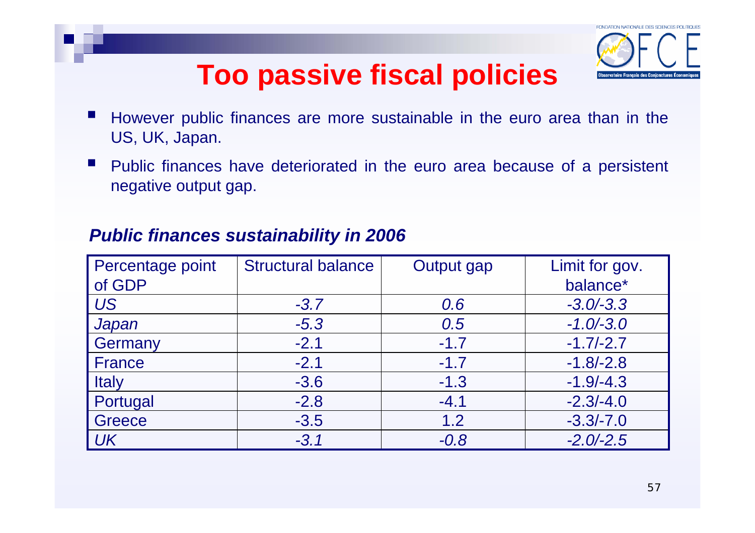# **Too passive fiscal policies**



- However public finances are more sustainable in the euro area than in the US, UK, Japan.
- Public finances have deteriorated in the euro area because of a persistent negative output gap.

| Percentage point<br>of GDP | <b>Structural balance</b> | Output gap | Limit for gov.<br>balance* |
|----------------------------|---------------------------|------------|----------------------------|
| <b>US</b>                  | $-3.7$                    | 0.6        | $-3.0/-3.3$                |
| Japan                      | $-5.3$                    | 0.5        | $-1.0/-3.0$                |
| Germany                    | $-2.1$                    | $-1.7$     | $-1.7/-2.7$                |
| France                     | $-2.1$                    | $-1.7$     | $-1.8/-2.8$                |
| <b>Italy</b>               | $-3.6$                    | $-1.3$     | $-1.9/-4.3$                |
| Portugal                   | $-2.8$                    | $-4.1$     | $-2.3/-4.0$                |
| Greece                     | $-3.5$                    | 1.2        | $-3.3/-7.0$                |
| <b>UK</b>                  | $-3.1$                    | $-0.8$     | $-2.0/-2.5$                |

#### *Public finances sustainability in 2006*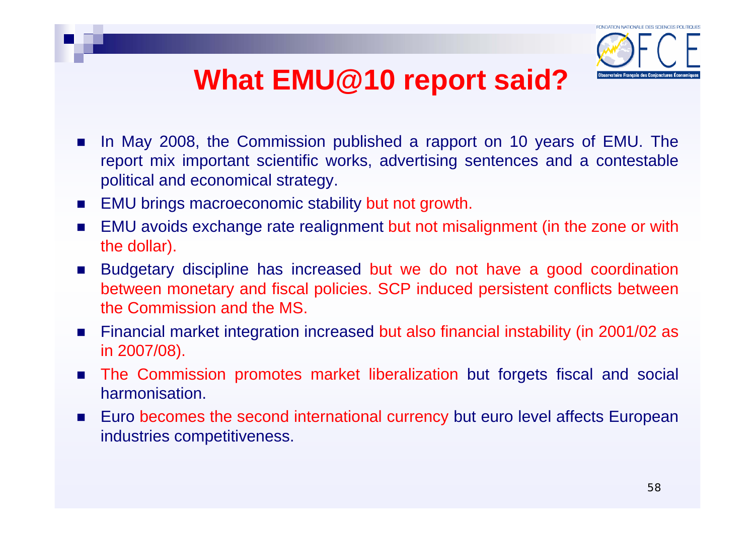## **What EMU@10 report said?**



- × In May 2008, the Commission published a rapport on 10 years of EMU. The report mix important scientific works, advertising sentences and a contestable political and economical strategy.
- $\mathcal{L}^{\text{max}}$ EMU brings macroeconomic stability but not growth.
- $\mathcal{L}_{\mathcal{A}}$  EMU avoids exchange rate realignment but not misalignment (in the zone or with the dollar).
- $\mathcal{L}_{\text{max}}$  Budgetary discipline has increased but we do not have a good coordination between monetary and fiscal policies. SCP induced persistent conflicts between the Commission and the MS.
- $\mathcal{L}^{\text{max}}$  Financial market integration increased but also financial instability (in 2001/02 as in 2007/08).
- $\sim$  The Commission promotes market liberalization but forgets fiscal and social harmonisation.
- **College**  Euro becomes the second international currency but euro level affects European industries competitiveness.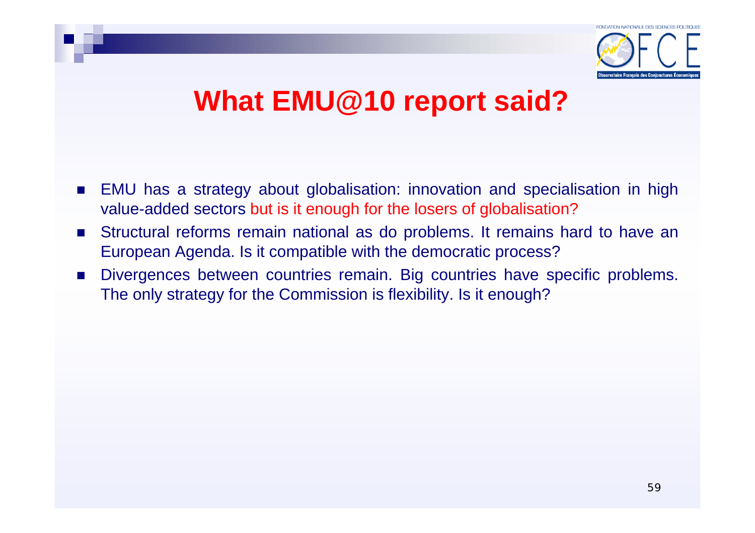

## **What EMU@10 report said?**

- $\mathcal{O}(\mathcal{A})$  EMU has a strategy about globalisation: innovation and specialisation in high value-added sectors but is it enough for the losers of globalisation?
- $\mathcal{L}^{\text{max}}_{\text{max}}$  Structural reforms remain national as do problems. It remains hard to have an European Agenda. Is it compatible with the democratic process?
- $\mathcal{L}_{\mathcal{A}}$  Divergences between countries remain. Big countries have specific problems. The only strategy for the Commission is flexibility. Is it enough?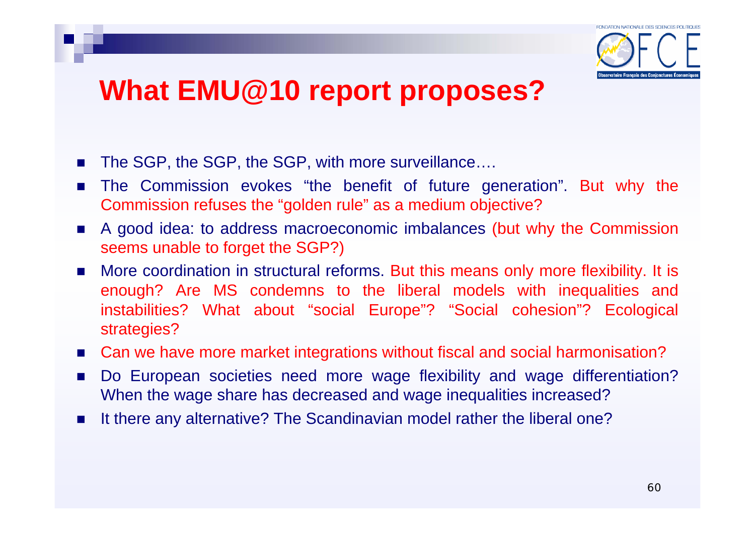

## **What EMU@10 report proposes?**

- $\mathcal{L}_{\mathcal{A}}$ The SGP, the SGP, the SGP, with more surveillance….
- F The Commission evokes "the benefit of future generation". But why the Commission refuses the "golden rule" as a medium objective?
- П A good idea: to address macroeconomic imbalances (but why the Commission seems unable to forget the SGP?)
- F More coordination in structural reforms. But this means only more flexibility. It is enough? Are MS condemns to the liberal models with inequalities and instabilities? What about "social Europe"? "Social cohesion"? Ecological strategies?
- Can we have more market integrations without fiscal and social harmonisation?
- $\mathcal{L}^{\mathcal{L}}$  Do European societies need more wage flexibility and wage differentiation? When the wage share has decreased and wage inequalities increased?
- $\blacksquare$ It there any alternative? The Scandinavian model rather the liberal one?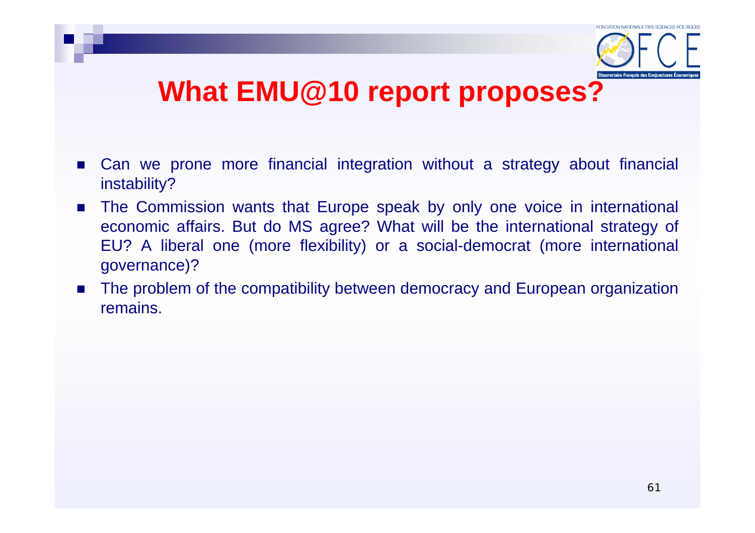

#### **What EMU@10 report proposes?**

- $\mathcal{L}_{\mathcal{A}}$  Can we prone more financial integration without a strategy about financial instability?
- $\mathcal{L}(\mathcal{A})$  The Commission wants that Europe speak by only one voice in international economic affairs. But do MS agree? What will be the international strategy of EU? A liberal one (more flexibility) or a social-democrat (more international governance)?
- $\sim 100$  The problem of the compatibility between democracy and European organization remains.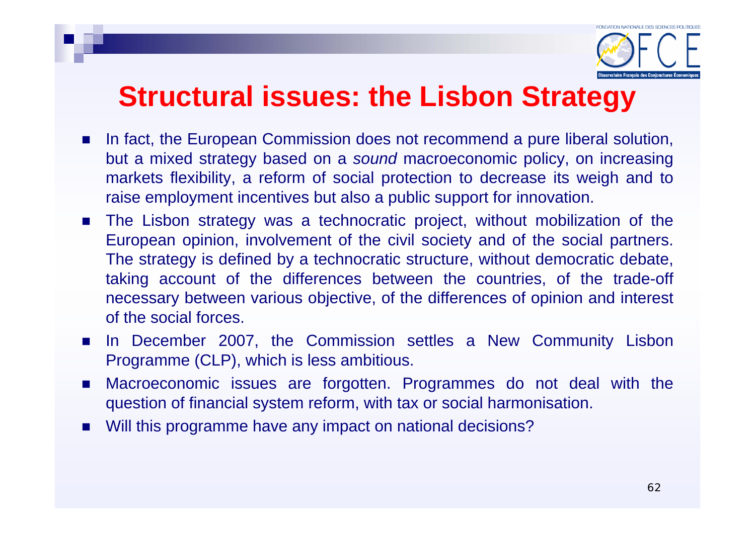

#### **Structural issues: the Lisbon Strategy**

- $\mathcal{L}_{\mathcal{A}}$  In fact, the European Commission does not recommend a pure liberal solution, but a mixed strategy based on a *sound* macroeconomic policy, on increasing markets flexibility, a reform of social protection to decrease its weigh and to raise employment incentives but also a public support for innovation.
- $\mathcal{O}(\mathbb{R})$  The Lisbon strategy was a technocratic project, without mobilization of the European opinion, involvement of the civil society and of the social partners. The strategy is defined by a technocratic structure, without democratic debate, taking account of the differences between the countries, of the trade-off necessary between various objective, of the differences of opinion and interest of the social forces.
- $\mathcal{L}_{\mathcal{A}}$  In December 2007, the Commission settles a New Community Lisbon Programme (CLP), which is less ambitious.
- $\mathcal{L}$  Macroeconomic issues are forgotten. Programmes do not deal with the question of financial system reform, with tax or social harmonisation.
- $\mathcal{L}_{\mathcal{A}}$ Will this programme have any impact on national decisions?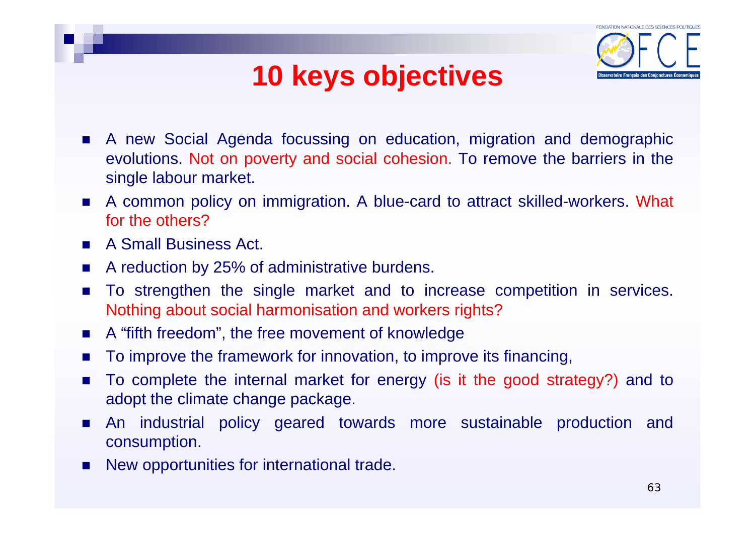# **10 keys objectives**



- $\mathcal{L}_{\mathcal{A}}$  A new Social Agenda focussing on education, migration and demographic evolutions. Not on poverty and social cohesion. To remove the barriers in the single labour market.
- $\sim 10$  A common policy on immigration. A blue-card to attract skilled-workers. What for the others?
- $\mathcal{L}_{\rm{max}}$ A Small Business Act.
- $\mathbf{r}$ A reduction by 25% of administrative burdens.
- $\mathbf{r}$  To strengthen the single market and to increase competition in services. Nothing about social harmonisation and workers rights?
- $\sim$ A "fifth freedom", the free movement of knowledge
- **COL** To improve the framework for innovation, to improve its financing,
- $\mathcal{L}_{\mathcal{A}}$  To complete the internal market for energy (is it the good strategy?) and to adopt the climate change package.
- **COL**  An industrial policy geared towards more sustainable production and consumption.
- $\mathcal{L}_{\mathcal{A}}$ New opportunities for international trade.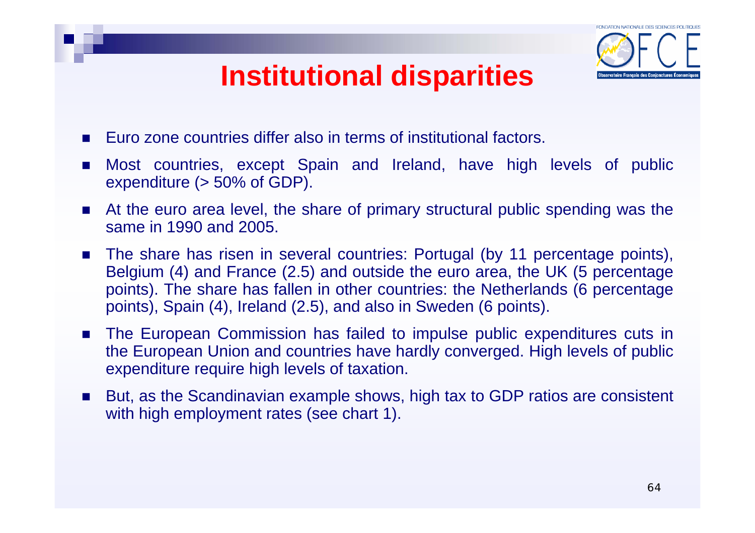## **Institutional disparities**



- $\mathcal{L}_{\mathcal{A}}$ Euro zone countries differ also in terms of institutional factors.
- $\mathcal{L}^{\mathcal{L}}$  Most countries, except Spain and Ireland, have high levels of public expenditure (> 50% of GDP).
- $\sim$  At the euro area level, the share of primary structural public spending was the same in 1990 and 2005.
- $\mathcal{L}_{\rm{max}}$  The share has risen in several countries: Portugal (by 11 percentage points), Belgium (4) and France (2.5) and outside the euro area, the UK (5 percentage points). The share has fallen in other countries: the Netherlands (6 percentage points), Spain (4), Ireland (2.5), and also in Sweden (6 points).
- $\sim$  The European Commission has failed to impulse public expenditures cuts in the European Union and countries have hardly converged. High levels of public expenditure require high levels of taxation.
- $\mathcal{L}_{\mathcal{A}}$  But, as the Scandinavian example shows, high tax to GDP ratios are consistent with high employment rates (see chart 1).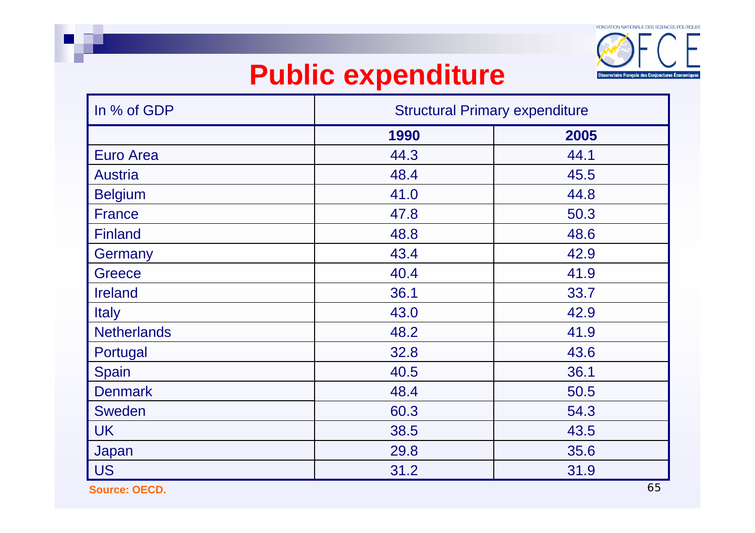

## **Public expenditure**

| In % of GDP        | <b>Structural Primary expenditure</b> |                               |  |
|--------------------|---------------------------------------|-------------------------------|--|
|                    | 1990                                  | 2005                          |  |
| <b>Euro Area</b>   | 44.3                                  | 44.1                          |  |
| <b>Austria</b>     | 48.4                                  | 45.5                          |  |
| <b>Belgium</b>     | 41.0                                  | 44.8                          |  |
| <b>France</b>      | 47.8                                  | 50.3                          |  |
| <b>Finland</b>     | 48.8                                  | 48.6                          |  |
| Germany            | 43.4                                  | 42.9                          |  |
| <b>Greece</b>      | 40.4                                  | 41.9                          |  |
| <b>Ireland</b>     | 36.1                                  | 33.7                          |  |
| <b>Italy</b>       | 43.0                                  | 42.9                          |  |
| <b>Netherlands</b> | 48.2                                  | 41.9                          |  |
| Portugal           | 32.8                                  | 43.6                          |  |
| Spain              | 40.5                                  | 36.1                          |  |
| <b>Denmark</b>     | 48.4                                  | 50.5                          |  |
| Sweden             | 60.3                                  | 54.3                          |  |
| <b>UK</b>          | 38.5                                  | 43.5                          |  |
| Japan              | 29.8                                  | 35.6                          |  |
| <b>US</b>          | 31.2                                  | 31.9<br>$\epsilon$ $\epsilon$ |  |

**Source: OECD.**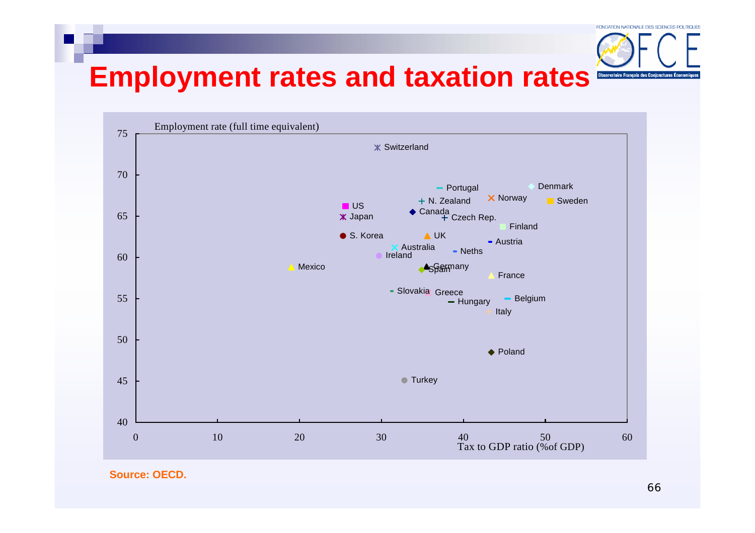

## **Employment rates and taxation rates**



**Source: OECD.**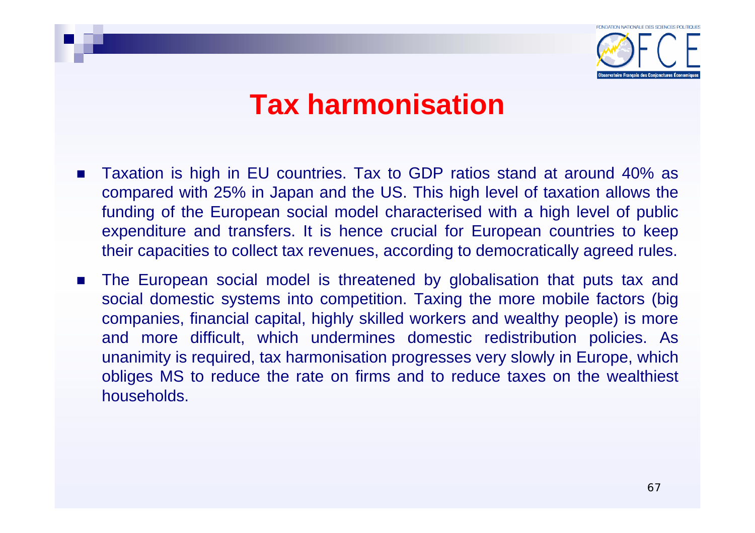

- $\mathcal{L}_{\mathcal{A}}$  Taxation is high in EU countries. Tax to GDP ratios stand at around 40% as compared with 25% in Japan and the US. This high level of taxation allows the funding of the European social model characterised with a high level of public expenditure and transfers. It is hence crucial for European countries to keep their capacities to collect tax revenues, according to democratically agreed rules.
- **Contract**  The European social model is threatened by globalisation that puts tax and social domestic systems into competition. Taxing the more mobile factors (big companies, financial capital, highly skilled workers and wealthy people) is more and more difficult, which undermines domestic redistribution policies. As unanimity is required, tax harmonisation progresses very slowly in Europe, which obliges MS to reduce the rate on firms and to reduce taxes on the wealthiest households.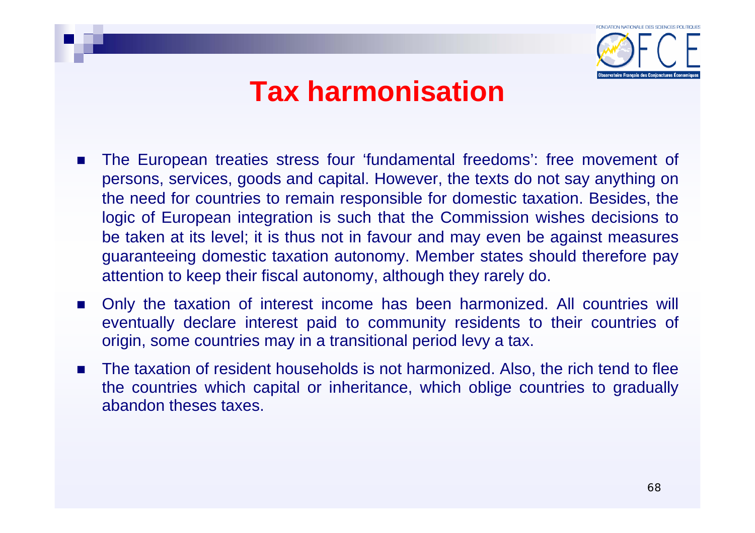

- $\sim$  The European treaties stress four 'fundamental freedoms': free movement of persons, services, goods and capital. However, the texts do not say anything on the need for countries to remain responsible for domestic taxation. Besides, the logic of European integration is such that the Commission wishes decisions to be taken at its level; it is thus not in favour and may even be against measures guaranteeing domestic taxation autonomy. Member states should therefore pay attention to keep their fiscal autonomy, although they rarely do.
- $\mathcal{L}_{\rm{max}}$  Only the taxation of interest income has been harmonized. All countries will eventually declare interest paid to community residents to their countries of origin, some countries may in a transitional period levy a tax.
- × The taxation of resident households is not harmonized. Also, the rich tend to flee the countries which capital or inheritance, which oblige countries to gradually abandon theses taxes.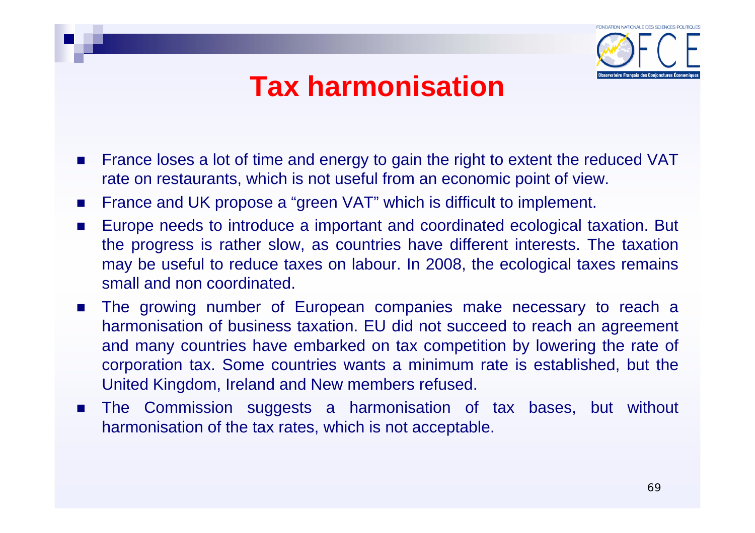

- $\mathcal{L}_{\text{max}}$  France loses a lot of time and energy to gain the right to extent the reduced VAT rate on restaurants, which is not useful from an economic point of view.
- $\mathcal{L}_{\text{max}}$ France and UK propose a "green VAT" which is difficult to implement.
- $\mathcal{L}_{\text{max}}$  Europe needs to introduce a important and coordinated ecological taxation. But the progress is rather slow, as countries have different interests. The taxation may be useful to reduce taxes on labour. In 2008, the ecological taxes remains small and non coordinated.
- П The growing number of European companies make necessary to reach <sup>a</sup> harmonisation of business taxation. EU did not succeed to reach an agreement and many countries have embarked on tax competition by lowering the rate of corporation tax. Some countries wants a minimum rate is established, but the United Kingdom, Ireland and New members refused.
- **Contract**  The Commission suggests a harmonisation of tax bases, but without harmonisation of the tax rates, which is not acceptable.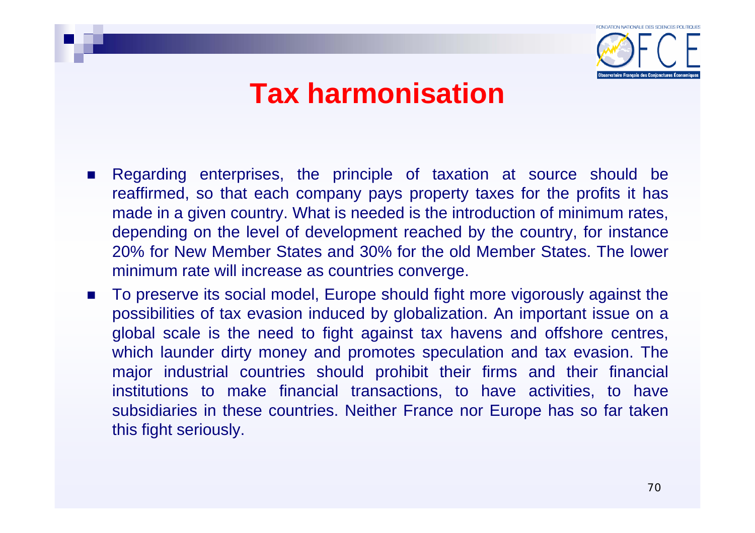

- $\overline{\phantom{a}}$  Regarding enterprises, the principle of taxation at source should be reaffirmed, so that each company pays property taxes for the profits it has made in a given country. What is needed is the introduction of minimum rates, depending on the level of development reached by the country, for instance 20% for New Member States and 30% for the old Member States. The lower minimum rate will increase as countries converge.
- p. To preserve its social model, Europe should fight more vigorously against the possibilities of tax evasion induced by globalization. An important issue on a global scale is the need to fight against tax havens and offshore centres, which launder dirty money and promotes speculation and tax evasion. The major industrial countries should prohibit their firms and their financial institutions to make financial transactions, to have activities, to have subsidiaries in these countries. Neither France nor Europe has so far taken this fight seriously.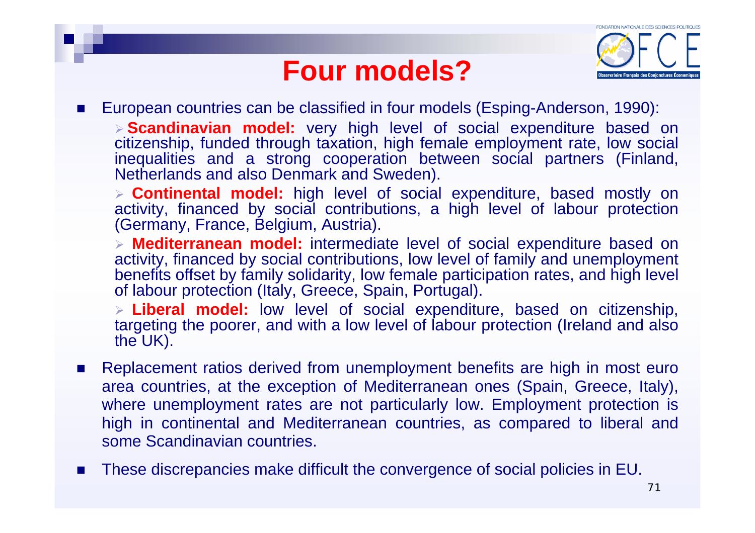## **Four models?**



 $\mathcal{L}_{\mathcal{A}}$ European countries can be classified in four models (Esping-Anderson, 1990):

¾ **Scandinavian model:** very high level of social expenditure based on citizenship, funded through taxation, high female employment rate, low social inequalities and a strong cooperation between social partners (Finland, Netherlands and also Denmark and Sweden).

¾ **Continental model:** high level of social expenditure, based mostly on activity, financed by social contributions, a high level of labour protection (Germany, France, Belgium, Austria).

¾ **Mediterranean model:** intermediate level of social expenditure based on activity, financed by social contributions, low level of family and unemployment benefits offset by family solidarity, low female participation rates, and high level of labour protection (Italy, Greece, Spain, Portugal).

¾ **Liberal model:** low level of social expenditure, based on citizenship, targeting the poorer, and with a low level of labour protection (Ireland and also the UK).

- F Replacement ratios derived from unemployment benefits are high in most euro area countries, at the exception of Mediterranean ones (Spain, Greece, Italy), where unemployment rates are not particularly low. Employment protection is high in continental and Mediterranean countries, as compared to liberal and some Scandinavian countries.
- П These discrepancies make difficult the convergence of social policies in EU.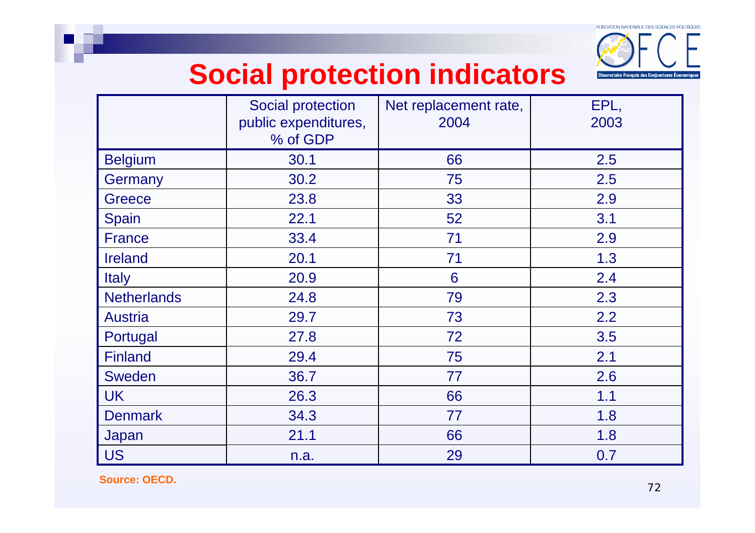

## **Social protection indicators**

|                    | Social protection<br>public expenditures,<br>% of GDP | Net replacement rate,<br>2004 | EPL,<br>2003 |
|--------------------|-------------------------------------------------------|-------------------------------|--------------|
| <b>Belgium</b>     | 30.1                                                  | 66                            | 2.5          |
| Germany            | 30.2                                                  | 75                            | 2.5          |
| Greece             | 23.8                                                  | 33                            | 2.9          |
| Spain              | 22.1                                                  | 52                            | 3.1          |
| <b>France</b>      | 33.4                                                  | 71                            | 2.9          |
| <b>Ireland</b>     | 20.1                                                  | 71                            | 1.3          |
| <b>Italy</b>       | 20.9                                                  | 6                             | 2.4          |
| <b>Netherlands</b> | 24.8                                                  | 79                            | 2.3          |
| <b>Austria</b>     | 29.7                                                  | 73                            | 2.2          |
| Portugal           | 27.8                                                  | 72                            | 3.5          |
| <b>Finland</b>     | 29.4                                                  | 75                            | 2.1          |
| <b>Sweden</b>      | 36.7                                                  | 77                            | 2.6          |
| <b>UK</b>          | 26.3                                                  | 66                            | 1.1          |
| <b>Denmark</b>     | 34.3                                                  | 77                            | 1.8          |
| Japan              | 21.1                                                  | 66                            | 1.8          |
| <b>US</b>          | n.a.                                                  | 29                            | 0.7          |

**Source: OECD.**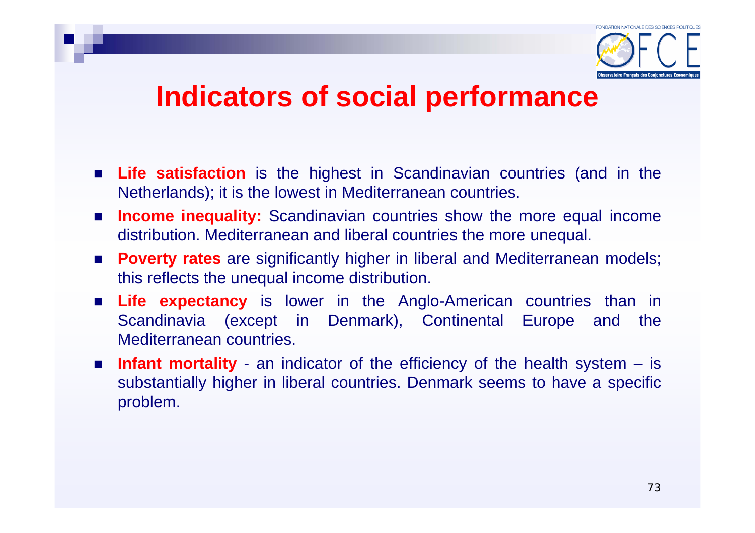

### **Indicators of social performance**

- **Life satisfaction** is the highest in Scandinavian countries (and in the Netherlands); it is the lowest in Mediterranean countries.
- **Income inequality:** Scandinavian countries show the more equal income distribution. Mediterranean and liberal countries the more unequal.
- **Poverty rates** are significantly higher in liberal and Mediterranean models; this reflects the unequal income distribution.
- **Life expectancy** is lower in the Anglo-American countries than in Scandinavia (except in Denmark), Continental Europe and the Mediterranean countries.
- **Infant mortality** an indicator of the efficiency of the health system is substantially higher in liberal countries. Denmark seems to have a specific problem.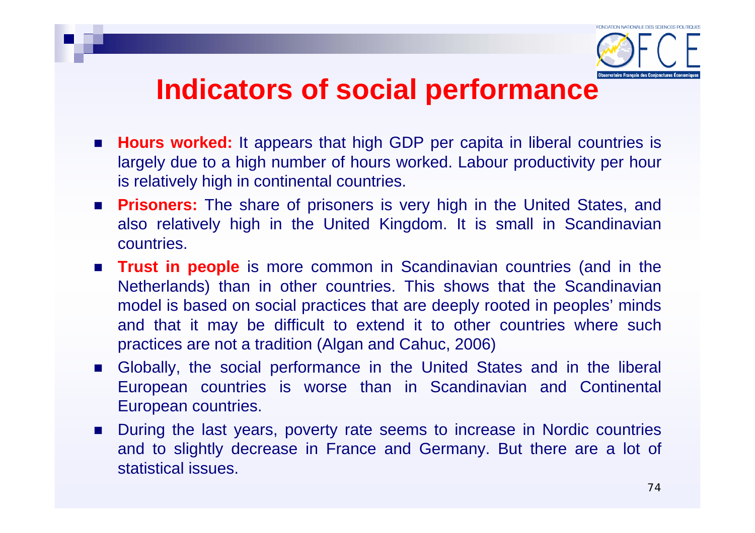### **Indicators of social performance**

- **Hours worked:** It appears that high GDP per capita in liberal countries is largely due to a high number of hours worked. Labour productivity per hour is relatively high in continental countries.
- **Prisoners:** The share of prisoners is very high in the United States, and also relatively high in the United Kingdom. It is small in Scandinavian countries.
- **Trust in people** is more common in Scandinavian countries (and in the Netherlands) than in other countries. This shows that the Scandinavian model is based on social practices that are deeply rooted in peoples' minds and that it may be difficult to extend it to other countries where such practices are not a tradition (Algan and Cahuc, 2006)
- Globally, the social performance in the United States and in the liberal European countries is worse than in Scandinavian and Continental European countries.
- During the last years, poverty rate seems to increase in Nordic countries and to slightly decrease in France and Germany. But there are a lot of statistical issues.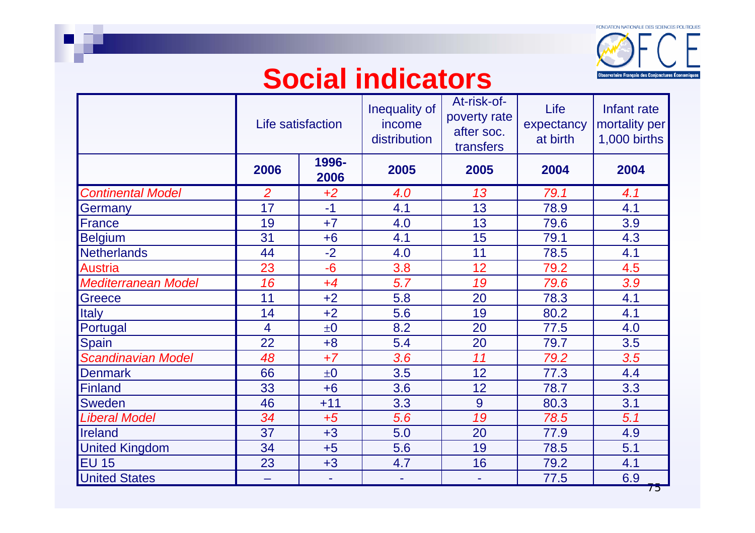

### **Social indicators**

|                            |                | Life satisfaction | Inequality of<br>income<br>distribution | At-risk-of-<br>poverty rate<br>after soc.<br>transfers | Life<br>expectancy<br>at birth | Infant rate<br>mortality per<br>1,000 births |
|----------------------------|----------------|-------------------|-----------------------------------------|--------------------------------------------------------|--------------------------------|----------------------------------------------|
|                            | 2006           | 1996-<br>2006     | 2005                                    | 2005                                                   | 2004                           | 2004                                         |
| <b>Continental Model</b>   | $\overline{2}$ | $+2$              | 4.0                                     | 13                                                     | 79.1                           | 4.1                                          |
| Germany                    | 17             | $-1$              | 4.1                                     | 13                                                     | 78.9                           | 4.1                                          |
| <b>France</b>              | 19             | $+7$              | 4.0                                     | 13                                                     | 79.6                           | 3.9                                          |
| <b>Belgium</b>             | 31             | $+6$              | 4.1                                     | 15                                                     | 79.1                           | 4.3                                          |
| <b>Netherlands</b>         | 44             | $-2$              | 4.0                                     | 11                                                     | 78.5                           | 4.1                                          |
| <b>Austria</b>             | 23             | $-6$              | 3.8                                     | 12                                                     | 79.2                           | 4.5                                          |
| <b>Mediterranean Model</b> | 16             | $+4$              | 5.7                                     | 19                                                     | 79.6                           | 3.9                                          |
| Greece                     | 11             | $+2$              | 5.8                                     | 20                                                     | 78.3                           | 4.1                                          |
| <b>Italy</b>               | 14             | $+2$              | 5.6                                     | 19                                                     | 80.2                           | 4.1                                          |
| Portugal                   | $\overline{4}$ | $\pm 0$           | 8.2                                     | 20                                                     | 77.5                           | 4.0                                          |
| <b>Spain</b>               | 22             | $+8$              | 5.4                                     | 20                                                     | 79.7                           | 3.5                                          |
| <b>Scandinavian Model</b>  | 48             | $+7$              | 3.6                                     | 11                                                     | 79.2                           | 3.5                                          |
| <b>Denmark</b>             | 66             | $\pm 0$           | 3.5                                     | 12                                                     | 77.3                           | 4.4                                          |
| <b>Finland</b>             | 33             | $+6$              | 3.6                                     | 12                                                     | 78.7                           | 3.3                                          |
| <b>Sweden</b>              | 46             | $+11$             | 3.3                                     | 9                                                      | 80.3                           | 3.1                                          |
| Liberal Model              | 34             | $+5$              | 5.6                                     | 19                                                     | 78.5                           | 5.1                                          |
| <b>Ireland</b>             | 37             | $+3$              | 5.0                                     | 20                                                     | 77.9                           | 4.9                                          |
| <b>United Kingdom</b>      | 34             | $+5$              | 5.6                                     | 19                                                     | 78.5                           | 5.1                                          |
| <b>EU 15</b>               | 23             | $+3$              | 4.7                                     | 16                                                     | 79.2                           | 4.1                                          |
| <b>United States</b>       |                | ۰                 |                                         | ۰                                                      | 77.5                           | 6.9                                          |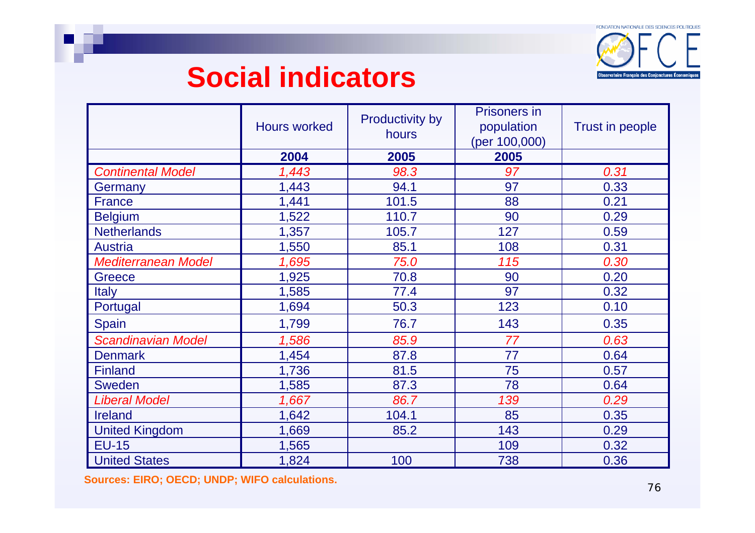FONDATION NATIONALE DES SCIENCES POLITIQUES Observatoire Français des Conjonctures Écon

### **Social indicators**

|                            | <b>Hours worked</b> | <b>Productivity by</b><br>hours | <b>Prisoners in</b><br>population<br>(per 100,000) | <b>Trust in people</b> |
|----------------------------|---------------------|---------------------------------|----------------------------------------------------|------------------------|
|                            | 2004                | 2005                            | 2005                                               |                        |
| <b>Continental Model</b>   | 1,443               | 98.3                            | 97                                                 | 0.31                   |
| Germany                    | 1,443               | 94.1                            | 97                                                 | 0.33                   |
| <b>France</b>              | 1,441               | 101.5                           | 88                                                 | 0.21                   |
| <b>Belgium</b>             | 1,522               | 110.7                           | 90                                                 | 0.29                   |
| <b>Netherlands</b>         | 1,357               | 105.7                           | 127                                                | 0.59                   |
| <b>Austria</b>             | 1,550               | 85.1                            | 108                                                | 0.31                   |
| <b>Mediterranean Model</b> | 1,695               | 75.0                            | 115                                                | 0.30                   |
| <b>Greece</b>              | 1,925               | 70.8                            | 90                                                 | 0.20                   |
| <b>Italy</b>               | 1,585               | 77.4                            | 97                                                 | 0.32                   |
| Portugal                   | 1,694               | 50.3                            | 123                                                | 0.10                   |
| <b>Spain</b>               | 1,799               | 76.7                            | 143                                                | 0.35                   |
| <b>Scandinavian Model</b>  | 1,586               | 85.9                            | 77                                                 | 0.63                   |
| <b>Denmark</b>             | 1,454               | 87.8                            | 77                                                 | 0.64                   |
| <b>Finland</b>             | 1,736               | 81.5                            | 75                                                 | 0.57                   |
| <b>Sweden</b>              | 1,585               | 87.3                            | 78                                                 | 0.64                   |
| <b>Liberal Model</b>       | 1,667               | 86.7                            | 139                                                | 0.29                   |
| <b>Ireland</b>             | 1,642               | 104.1                           | 85                                                 | 0.35                   |
| <b>United Kingdom</b>      | 1,669               | 85.2                            | 143                                                | 0.29                   |
| $EU-15$                    | 1,565               |                                 | 109                                                | 0.32                   |
| <b>United States</b>       | 1,824               | 100                             | 738                                                | 0.36                   |

**Sources: EIRO; OECD; UNDP; WIFO calculations.**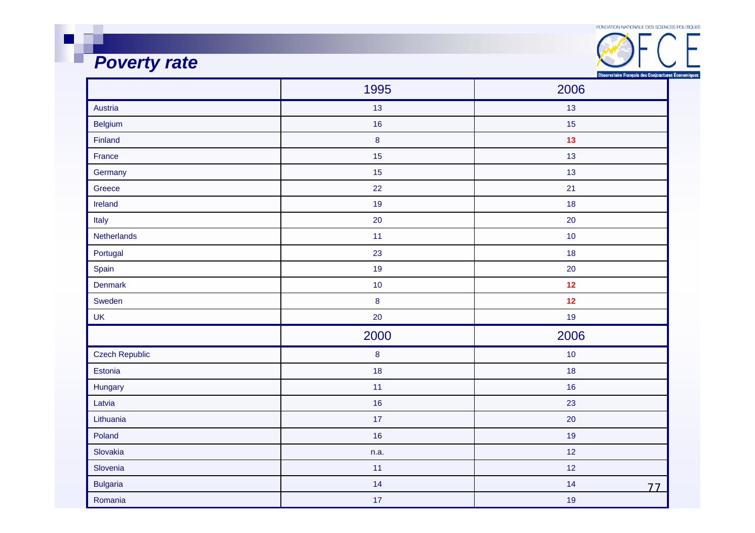FONDATION NATIONALE DES SCIENCES POLITIQUES

# **Poverty** rate

| FUNDATION NATIONALE DES SCIENCES PULITIQUES        |  |
|----------------------------------------------------|--|
|                                                    |  |
| Observatoire Français des Conjonctures Économiques |  |

|                       | 1995     | 2006     |
|-----------------------|----------|----------|
| Austria               | 13       | 13       |
| Belgium               | 16       | 15       |
| Finland               | $\bf 8$  | 13       |
| France                | 15       | 13       |
| Germany               | 15       | 13       |
| Greece                | 22       | 21       |
| Ireland               | 19       | 18       |
| Italy                 | 20       | 20       |
| Netherlands           | 11       | 10       |
| Portugal              | 23       | 18       |
| Spain                 | 19       | 20       |
| <b>Denmark</b>        | 10       | 12       |
| Sweden                | $\bf{8}$ | 12       |
| <b>UK</b>             | 20       | 19       |
|                       | 2000     | 2006     |
| <b>Czech Republic</b> | $\bf 8$  | 10       |
| Estonia               | 18       | 18       |
| Hungary               | 11       | 16       |
| Latvia                | 16       | 23       |
| Lithuania             | 17       | 20       |
| Poland                | 16       | 19       |
| Slovakia              | n.a.     | 12       |
| Slovenia              | 11       | 12       |
| <b>Bulgaria</b>       | 14       | 14<br>77 |
| Romania               | 17       | 19       |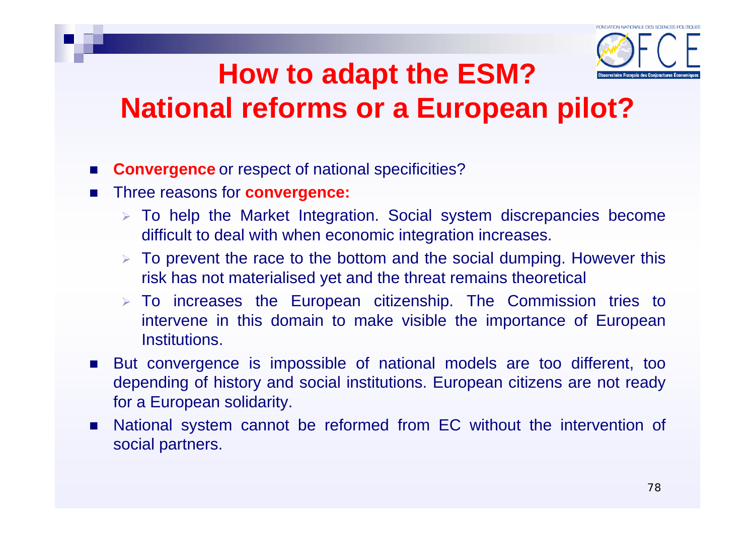

### **How to adapt the ESM? National reforms or a European pilot?**

- **Convergence** or respect of national specificities?
- F Three reasons for **convergence:**
	- $\triangleright$  To help the Market Integration. Social system discrepancies become difficult to deal with when economic integration increases.
	- $\triangleright$  To prevent the race to the bottom and the social dumping. However this risk has not materialised yet and the threat remains theoretical
	- $\triangleright$  To increases the European citizenship. The Commission tries to intervene in this domain to make visible the importance of European **Institutions**
- But convergence is impossible of national models are too different, too depending of history and social institutions. European citizens are not ready for a European solidarity.
- National system cannot be reformed from EC without the intervention of social partners.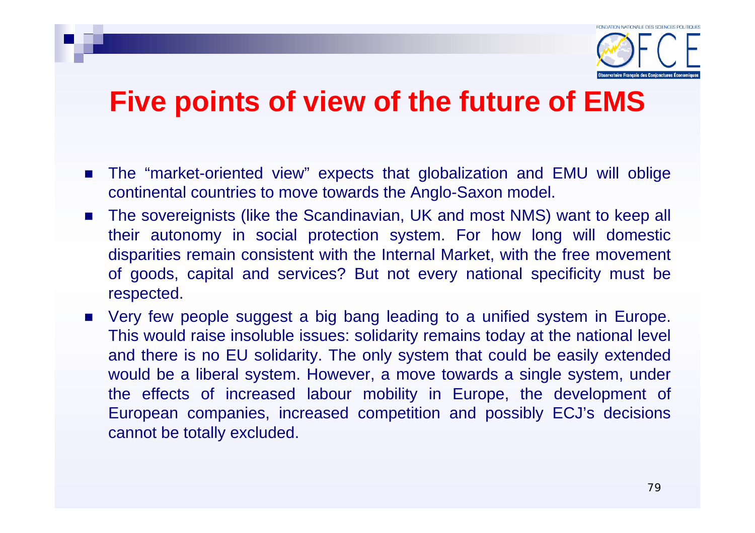

### **Five points of view of the future of EMS**

- The "market-oriented view" expects that globalization and EMU will oblige continental countries to move towards the Anglo-Saxon model.
- $\mathcal{L}_{\mathcal{A}}$  The sovereignists (like the Scandinavian, UK and most NMS) want to keep all their autonomy in social protection system. For how long will domestic disparities remain consistent with the Internal Market, with the free movement of goods, capital and services? But not every national specificity must be respected.
- Very few people suggest a big bang leading to a unified system in Europe. This would raise insoluble issues: solidarity remains today at the national level and there is no EU solidarity. The only system that could be easily extended would be a liberal system. However, a move towards a single system, under the effects of increased labour mobility in Europe, the development of European companies, increased competition and possibly ECJ's decisions cannot be totally excluded.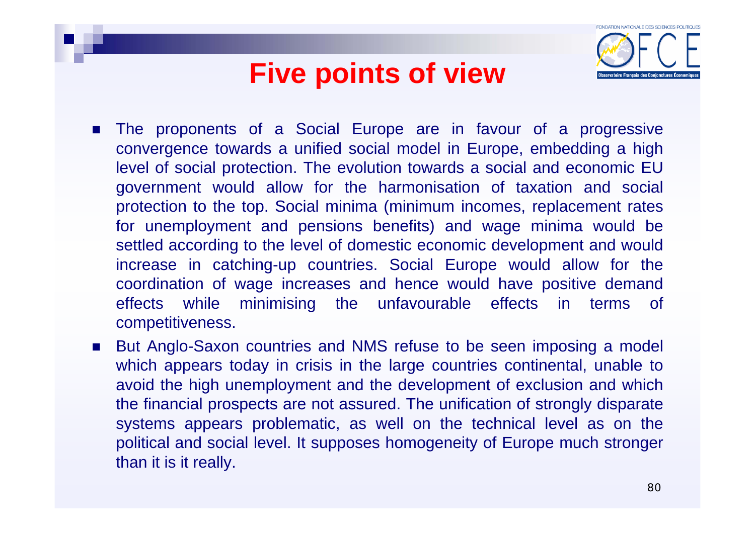### **Five points of view**



- П The proponents of a Social Europe are in favour of a progressive convergence towards a unified social model in Europe, embedding a high level of social protection. The evolution towards a social and economic EU government would allow for the harmonisation of taxation and social protection to the top. Social minima (minimum incomes, replacement rates for unemployment and pensions benefits) and wage minima would be settled according to the level of domestic economic development and would increase in catching-up countries. Social Europe would allow for the coordination of wage increases and hence would have positive demand effects while minimising the unfavourable effects in terms of competitiveness.
- $\mathcal{L}_{\rm{max}}$  But Anglo-Saxon countries and NMS refuse to be seen imposing a model which appears today in crisis in the large countries continental, unable to avoid the high unemployment and the development of exclusion and which the financial prospects are not assured. The unification of strongly disparate systems appears problematic, as well on the technical level as on the political and social level. It supposes homogeneity of Europe much stronger than it is it really.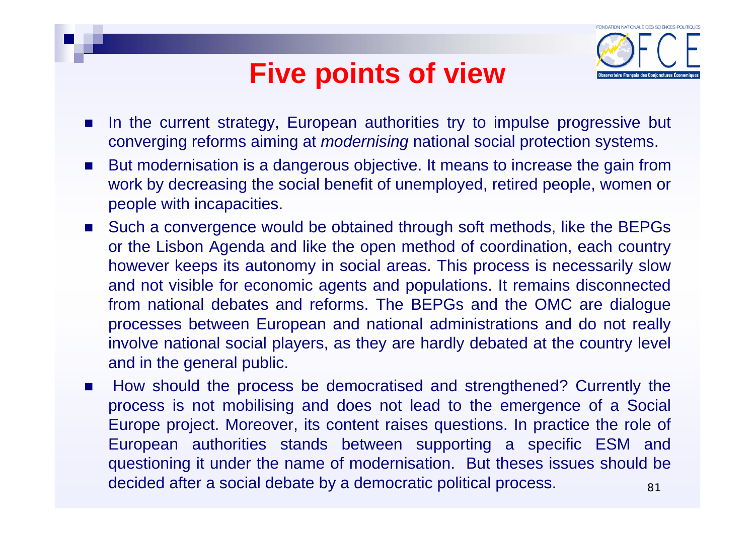### **Five points of view**



- $\overline{\phantom{a}}$ In the current strategy, European authorities try to impulse progressive but converging reforms aiming at *modernising* national social protection systems.
- $\mathcal{L}_{\rm{max}}$  But modernisation is a dangerous objective. It means to increase the gain from work by decreasing the social benefit of unemployed, retired people, women or people with incapacities.
- $\mathcal{L}(\mathcal{A})$  . Such a convergence would be obtained through soft methods, like the BEPGs or the Lisbon Agenda and like the open method of coordination, each country however keeps its autonomy in social areas. This process is necessarily slow and not visible for economic agents and populations. It remains disconnected from national debates and reforms. The BEPGs and the OMC are dialogue processes between European and national administrations and do not really involve national social players, as they are hardly debated at the country level and in the general public.
- 81 $\mathcal{L}_{\mathcal{A}}$  How should the process be democratised and strengthened? Currently the process is not mobilising and does not lead to the emergence of a Social Europe project. Moreover, its content raises questions. In practice the role of European authorities stands between supporting a specific ESM and questioning it under the name of modernisation. But theses issues should be decided after a social debate by a democratic political process.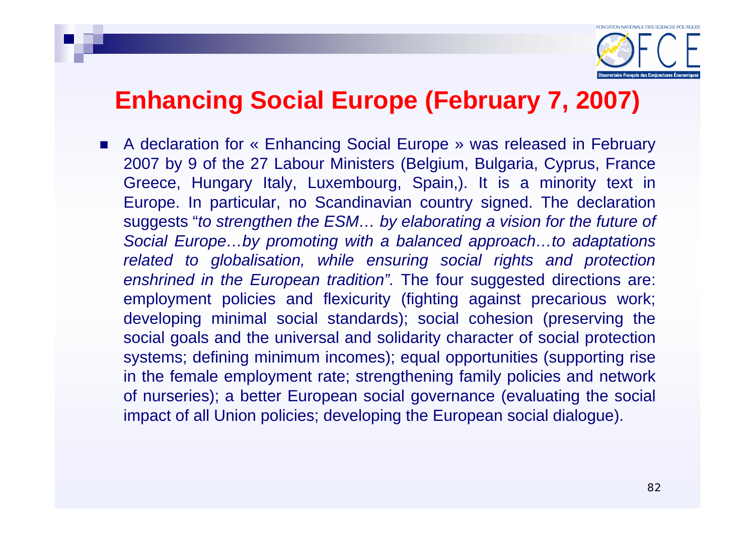### **Enhancing Social Europe (February 7, 2007)**

■ A declaration for « Enhancing Social Europe » was released in February 2007 by 9 of the 27 Labour Ministers (Belgium, Bulgaria, Cyprus, France Greece, Hungary Italy, Luxembourg, Spain,). It is a minority text in Europe. In particular, no Scandinavian country signed. The declaration suggests "*to strengthen the ESM… by elaborating a vision for the future of Social Europe…by promoting with a balanced approach…to adaptations related to globalisation, while ensuring social rights and protection enshrined in the European tradition".* The four suggested directions are: employment policies and flexicurity (fighting against precarious work; developing minimal social standards); social cohesion (preserving the social goals and the universal and solidarity character of social protection systems; defining minimum incomes); equal opportunities (supporting rise in the female employment rate; strengthening family policies and network of nurseries); a better European social governance (evaluating the social impact of all Union policies; developing the European social dialogue).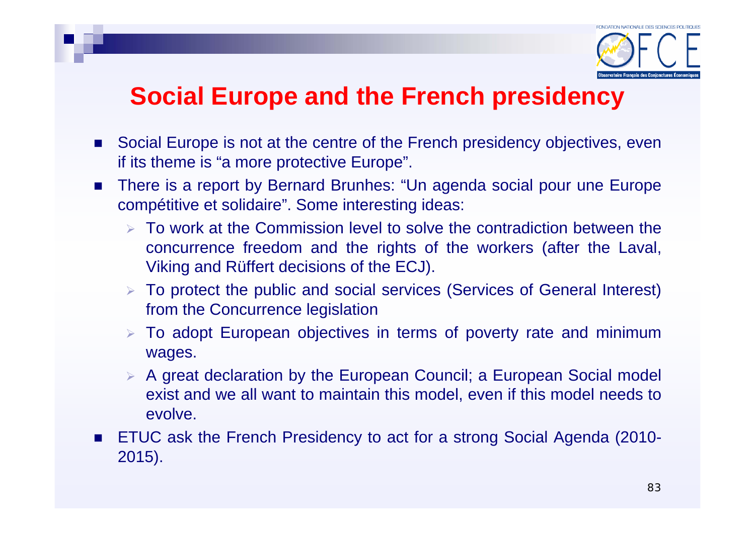

### **Social Europe and the French presidency**

- Social Europe is not at the centre of the French presidency objectives, even if its theme is "a more protective Europe".
- $\mathcal{L}(\mathcal{A})$  There is a report by Bernard Brunhes: "Un agenda social pour une Europe compétitive et solidaire". Some interesting ideas:
	- $\triangleright$  To work at the Commission level to solve the contradiction between the concurrence freedom and the rights of the workers (after the Laval, Viking and Rüffert decisions of the ECJ).
	- ¾ To protect the public and social services (Services of General Interest) from the Concurrence legislation
	- $\triangleright$  To adopt European objectives in terms of poverty rate and minimum wages.
	- ¾ A great declaration by the European Council; a European Social model exist and we all want to maintain this model, even if this model needs to evolve.
- ETUC ask the French Presidency to act for a strong Social Agenda (2010-2015).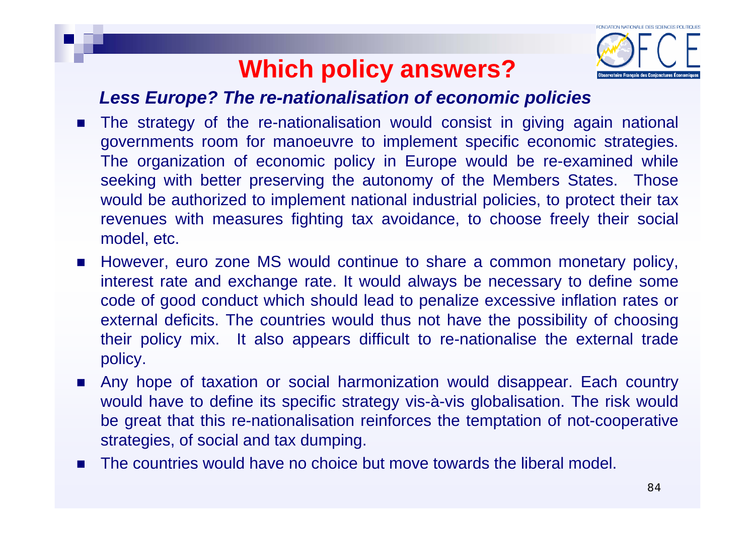

#### *Less Europe? The re-nationalisation of economic policies*

- $\mathbf{r}$  The strategy of the re-nationalisation would consist in giving again national governments room for manoeuvre to implement specific economic strategies. The organization of economic policy in Europe would be re-examined while seeking with better preserving the autonomy of the Members States. Those would be authorized to implement national industrial policies, to protect their tax revenues with measures fighting tax avoidance, to choose freely their social model, etc.
- $\mathbf{r}$  However, euro zone MS would continue to share a common monetary policy, interest rate and exchange rate. It would always be necessary to define some code of good conduct which should lead to penalize excessive inflation rates or external deficits. The countries would thus not have the possibility of choosing their policy mix. It also appears difficult to re-nationalise the external trade policy.
- F Any hope of taxation or social harmonization would disappear. Each country would have to define its specific strategy vis-à-vis globalisation. The risk would be great that this re-nationalisation reinforces the temptation of not-cooperative strategies, of social and tax dumping.
- F The countries would have no choice but move towards the liberal model.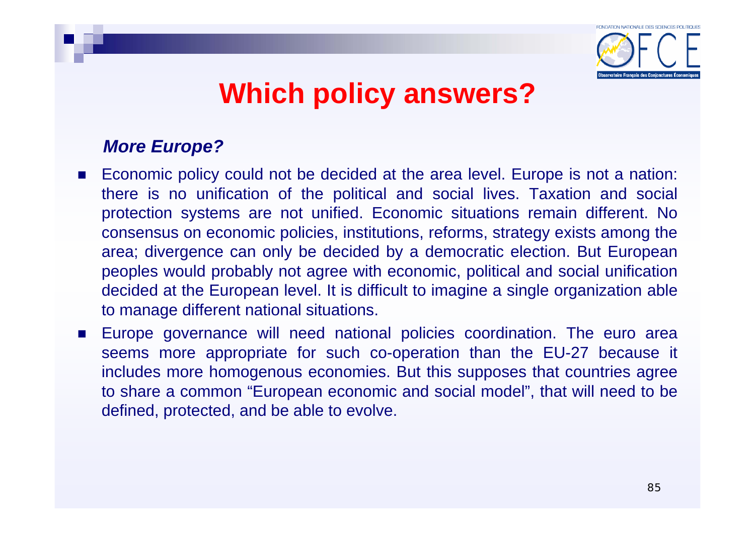

- $\mathcal{L}_{\rm{max}}$  Economic policy could not be decided at the area level. Europe is not a nation: there is no unification of the political and social lives. Taxation and social protection systems are not unified. Economic situations remain different. No consensus on economic policies, institutions, reforms, strategy exists among the area; divergence can only be decided by a democratic election. But European peoples would probably not agree with economic, political and social unification decided at the European level. It is difficult to imagine a single organization able to manage different national situations.
- $\mathcal{L}_{\rm{max}}$  Europe governance will need national policies coordination. The euro area seems more appropriate for such co-operation than the EU-27 because it includes more homogenous economies. But this supposes that countries agree to share a common "European economic and social model", that will need to be defined, protected, and be able to evolve.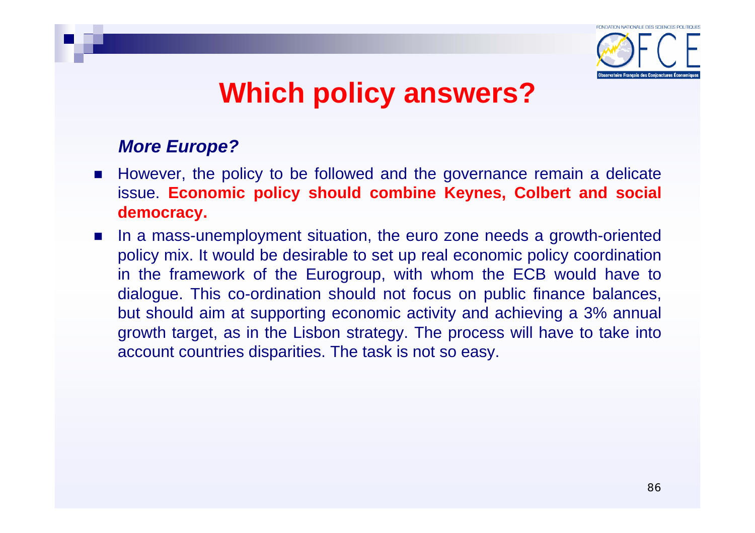

- **However, the policy to be followed and the governance remain a delicate** issue. **Economic policy should combine Keynes, Colbert and social democracy.**
- In a mass-unemployment situation, the euro zone needs a growth-oriented policy mix. It would be desirable to set up real economic policy coordination in the framework of the Eurogroup, with whom the ECB would have to dialogue. This co-ordination should not focus on public finance balances, but should aim at supporting economic activity and achieving a 3% annual growth target, as in the Lisbon strategy. The process will have to take into account countries disparities. The task is not so easy.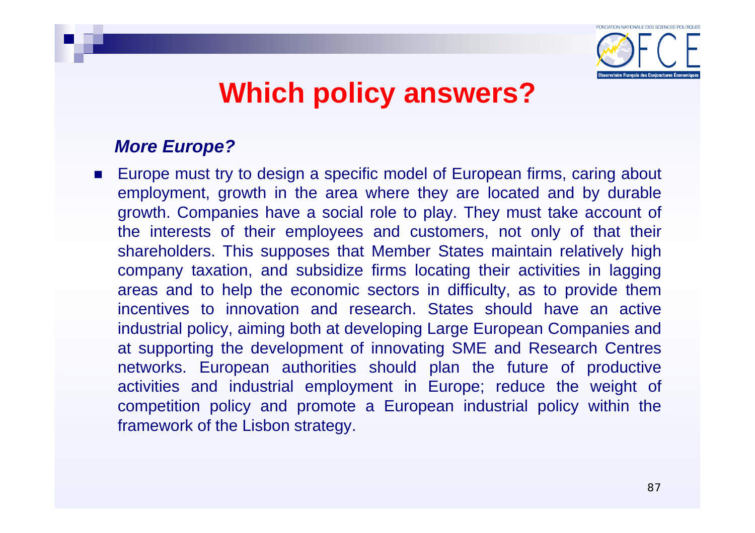

#### *More Europe?*

■ Europe must try to design a specific model of European firms, caring about employment, growth in the area where they are located and by durable growth. Companies have a social role to play. They must take account of the interests of their employees and customers, not only of that their shareholders. This supposes that Member States maintain relatively high company taxation, and subsidize firms locating their activities in lagging areas and to help the economic sectors in difficulty, as to provide them incentives to innovation and research. States should have an active industrial policy, aiming both at developing Large European Companies and at supporting the development of innovating SME and Research Centres networks. European authorities should plan the future of productive activities and industrial employment in Europe; reduce the weight of competition policy and promote a European industrial policy within the framework of the Lisbon strategy.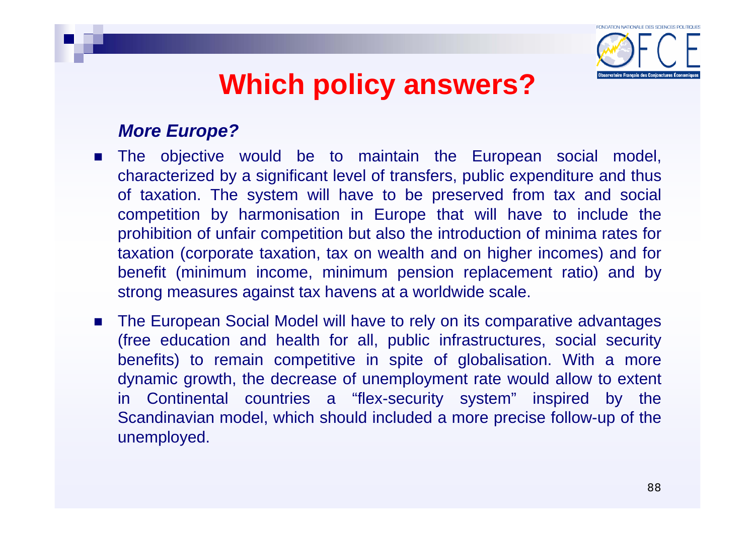

- The objective would be to maintain the European social model, characterized by a significant level of transfers, public expenditure and thus of taxation. The system will have to be preserved from tax and social competition by harmonisation in Europe that will have to include the prohibition of unfair competition but also the introduction of minima rates for taxation (corporate taxation, tax on wealth and on higher incomes) and for benefit (minimum income, minimum pension replacement ratio) and by strong measures against tax havens at a worldwide scale.
- The European Social Model will have to rely on its comparative advantages (free education and health for all, public infrastructures, social security benefits) to remain competitive in spite of globalisation. With a more dynamic growth, the decrease of unemployment rate would allow to extent in Continental countries a "flex-security system" inspired by the Scandinavian model, which should included a more precise follow-up of the unemployed.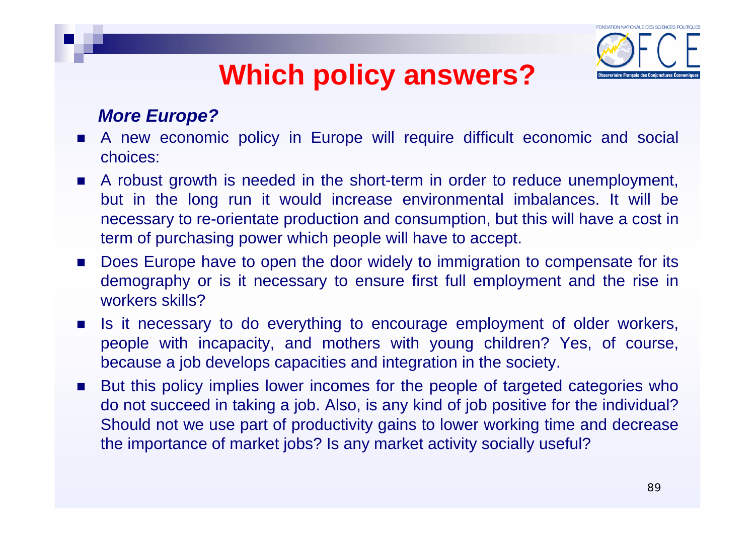

- A new economic policy in Europe will require difficult economic and social choices:
- A robust growth is needed in the short-term in order to reduce unemployment, but in the long run it would increase environmental imbalances. It will be necessary to re-orientate production and consumption, but this will have a cost in term of purchasing power which people will have to accept.
- $\mathcal{L}_{\mathcal{A}}$  Does Europe have to open the door widely to immigration to compensate for its demography or is it necessary to ensure first full employment and the rise in workers skills?
- **Contract**  Is it necessary to do everything to encourage employment of older workers, people with incapacity, and mothers with young children? Yes, of course, because a job develops capacities and integration in the society.
- × But this policy implies lower incomes for the people of targeted categories who do not succeed in taking a job. Also, is any kind of job positive for the individual? Should not we use part of productivity gains to lower working time and decrease the importance of market jobs? Is any market activity socially useful?